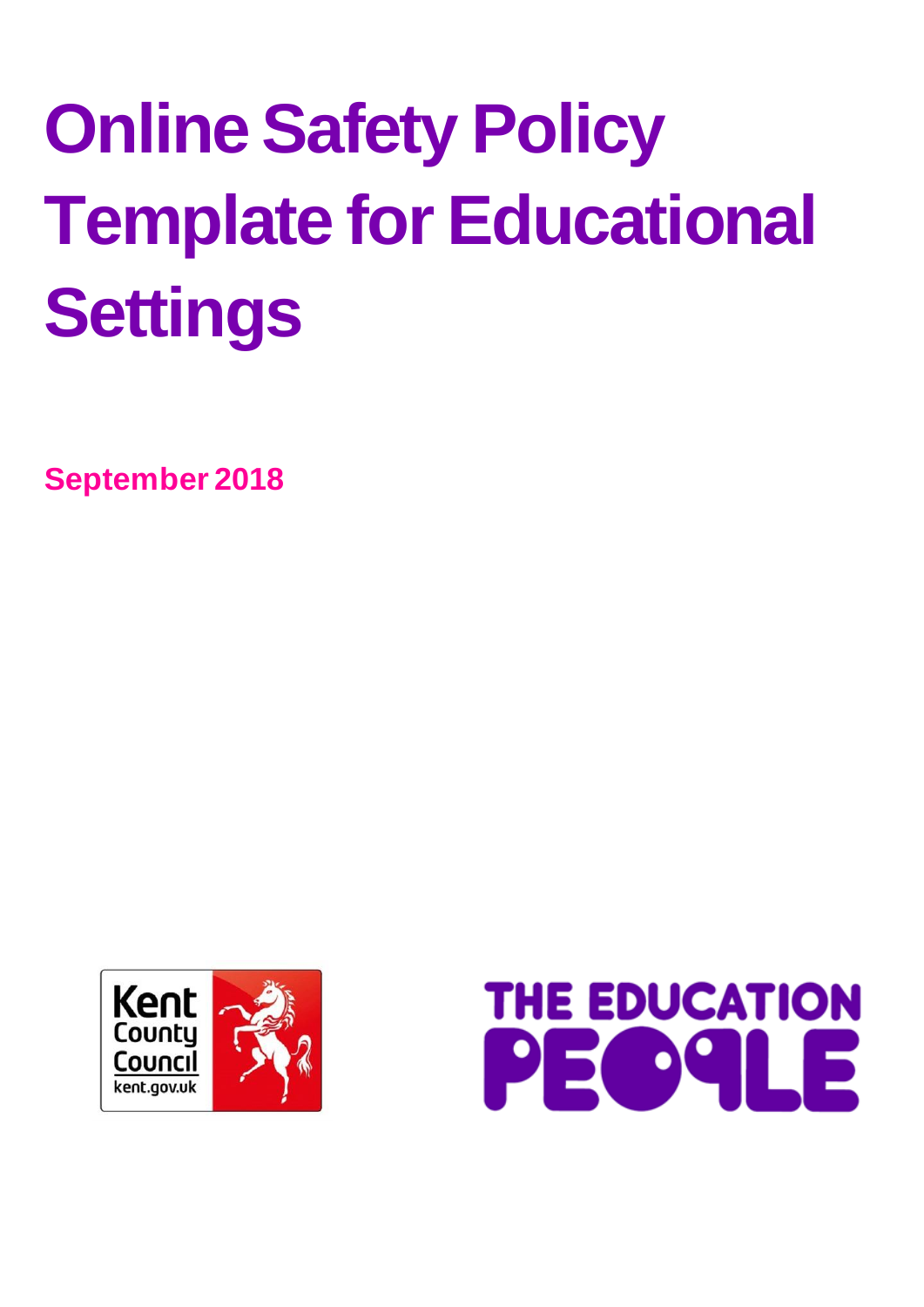# **Online Safety Policy Template for Educational Settings**

**September 2018**



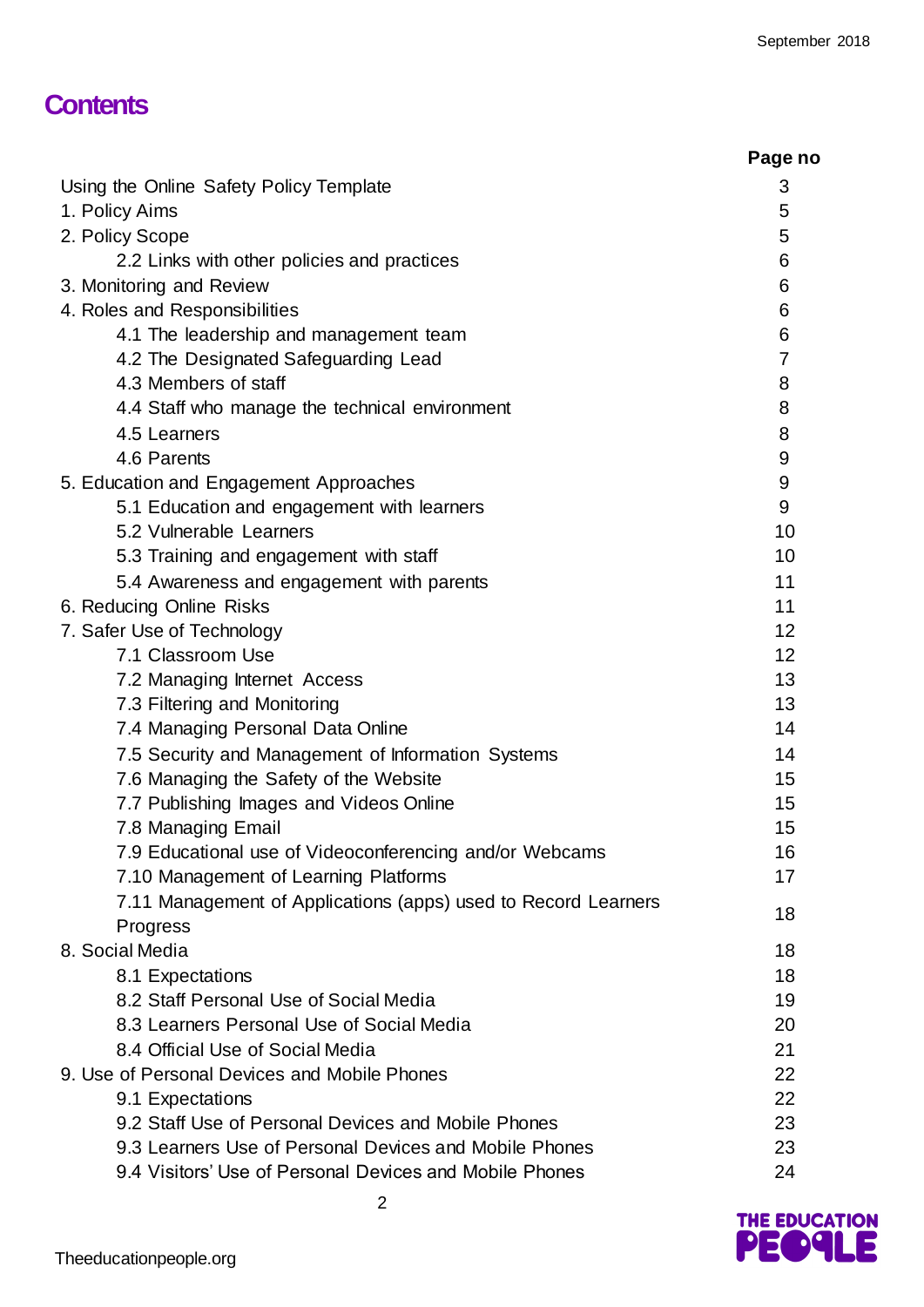# **Contents**

|                                                                                                               | Page no  |
|---------------------------------------------------------------------------------------------------------------|----------|
| Using the Online Safety Policy Template                                                                       | 3        |
| 1. Policy Aims                                                                                                | 5        |
| 2. Policy Scope                                                                                               | 5        |
| 2.2 Links with other policies and practices                                                                   | 6        |
| 3. Monitoring and Review                                                                                      | 6        |
| 4. Roles and Responsibilities                                                                                 | 6        |
| 4.1 The leadership and management team                                                                        | 6        |
| 4.2 The Designated Safeguarding Lead                                                                          | 7        |
| 4.3 Members of staff                                                                                          | 8        |
| 4.4 Staff who manage the technical environment                                                                | 8        |
| 4.5 Learners                                                                                                  | 8        |
| 4.6 Parents                                                                                                   | 9        |
| 5. Education and Engagement Approaches                                                                        | 9        |
| 5.1 Education and engagement with learners                                                                    | 9        |
| 5.2 Vulnerable Learners                                                                                       | 10       |
| 5.3 Training and engagement with staff                                                                        | 10       |
| 5.4 Awareness and engagement with parents                                                                     | 11       |
| 6. Reducing Online Risks                                                                                      | 11       |
| 7. Safer Use of Technology                                                                                    | 12       |
| 7.1 Classroom Use                                                                                             | 12       |
| 7.2 Managing Internet Access                                                                                  | 13       |
| 7.3 Filtering and Monitoring                                                                                  | 13       |
| 7.4 Managing Personal Data Online                                                                             | 14       |
| 7.5 Security and Management of Information Systems                                                            | 14       |
| 7.6 Managing the Safety of the Website                                                                        | 15       |
| 7.7 Publishing Images and Videos Online                                                                       | 15       |
| 7.8 Managing Email                                                                                            | 15       |
| 7.9 Educational use of Videoconferencing and/or Webcams                                                       | 16       |
| 7.10 Management of Learning Platforms                                                                         | 17       |
| 7.11 Management of Applications (apps) used to Record Learners                                                | 18       |
| Progress                                                                                                      |          |
| 8. Social Media                                                                                               | 18       |
| 8.1 Expectations                                                                                              | 18       |
| 8.2 Staff Personal Use of Social Media                                                                        | 19       |
| 8.3 Learners Personal Use of Social Media                                                                     | 20       |
| 8.4 Official Use of Social Media                                                                              | 21       |
| 9. Use of Personal Devices and Mobile Phones                                                                  | 22       |
| 9.1 Expectations                                                                                              | 22       |
| 9.2 Staff Use of Personal Devices and Mobile Phones<br>9.3 Learners Use of Personal Devices and Mobile Phones | 23<br>23 |
| 9.4 Visitors' Use of Personal Devices and Mobile Phones                                                       | 24       |
|                                                                                                               |          |

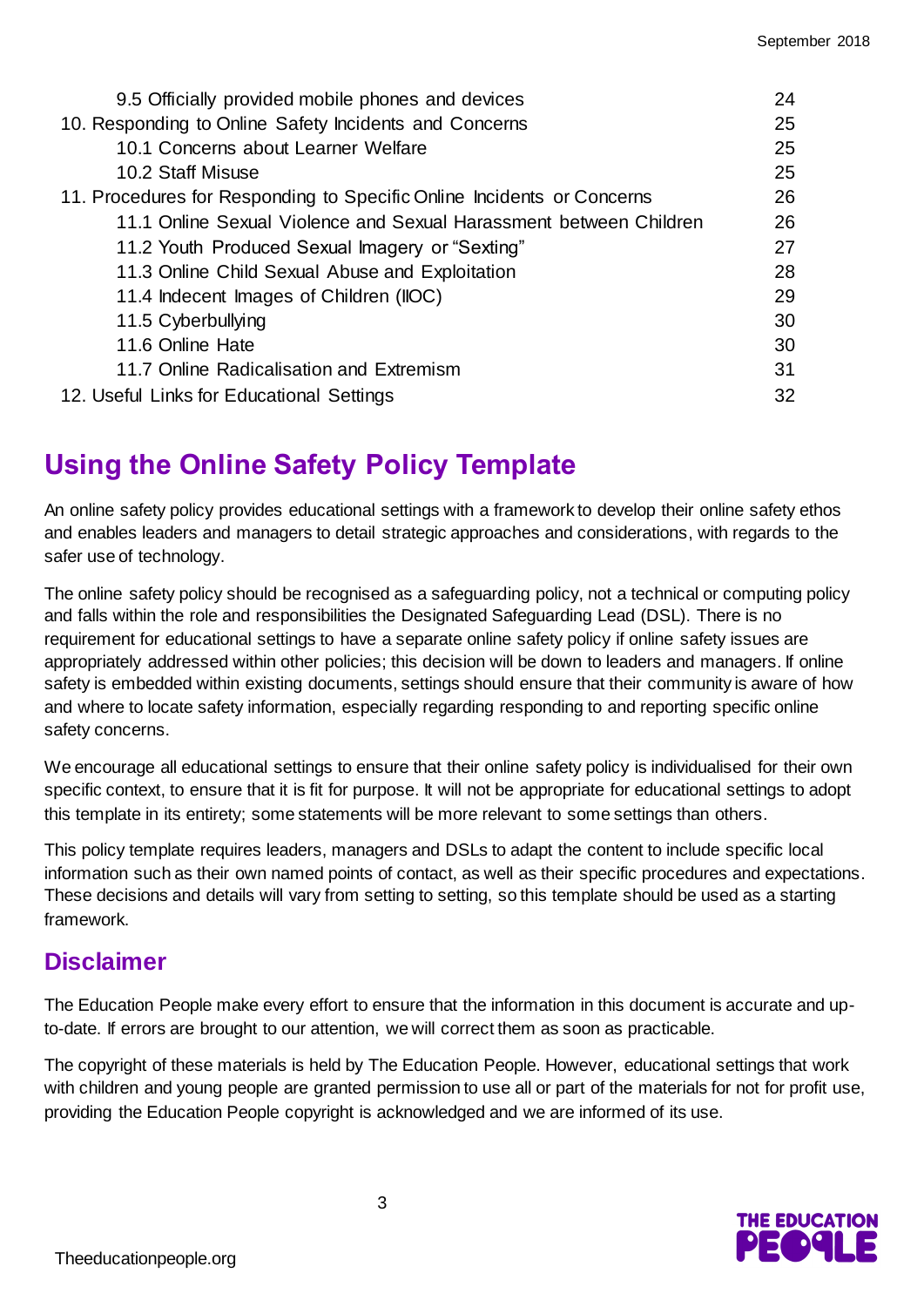| 9.5 Officially provided mobile phones and devices                      | 24 |
|------------------------------------------------------------------------|----|
| 10. Responding to Online Safety Incidents and Concerns                 | 25 |
| 10.1 Concerns about Learner Welfare                                    | 25 |
| 10.2 Staff Misuse                                                      | 25 |
| 11. Procedures for Responding to Specific Online Incidents or Concerns | 26 |
| 11.1 Online Sexual Violence and Sexual Harassment between Children     | 26 |
| 11.2 Youth Produced Sexual Imagery or "Sexting"                        | 27 |
| 11.3 Online Child Sexual Abuse and Exploitation                        | 28 |
| 11.4 Indecent Images of Children (IIOC)                                | 29 |
| 11.5 Cyberbullying                                                     | 30 |
| 11.6 Online Hate                                                       | 30 |
| 11.7 Online Radicalisation and Extremism                               | 31 |
| 12. Useful Links for Educational Settings                              | 32 |

# **Using the Online Safety Policy Template**

An online safety policy provides educational settings with a framework to develop their online safety ethos and enables leaders and managers to detail strategic approaches and considerations, with regards to the safer use of technology.

The online safety policy should be recognised as a safeguarding policy, not a technical or computing policy and falls within the role and responsibilities the Designated Safeguarding Lead (DSL). There is no requirement for educational settings to have a separate online safety policy if online safety issues are appropriately addressed within other policies; this decision will be down to leaders and managers. If online safety is embedded within existing documents, settings should ensure that their community is aware of how and where to locate safety information, especially regarding responding to and reporting specific online safety concerns.

We encourage all educational settings to ensure that their online safety policy is individualised for their own specific context, to ensure that it is fit for purpose. It will not be appropriate for educational settings to adopt this template in its entirety; some statements will be more relevant to some settings than others.

This policy template requires leaders, managers and DSLs to adapt the content to include specific local information such as their own named points of contact, as well as their specific procedures and expectations. These decisions and details will vary from setting to setting, so this template should be used as a starting framework.

#### **Disclaimer**

The Education People make every effort to ensure that the information in this document is accurate and upto-date. If errors are brought to our attention, we will correct them as soon as practicable.

The copyright of these materials is held by The Education People. However, educational settings that work with children and young people are granted permission to use all or part of the materials for not for profit use, providing the Education People copyright is acknowledged and we are informed of its use.

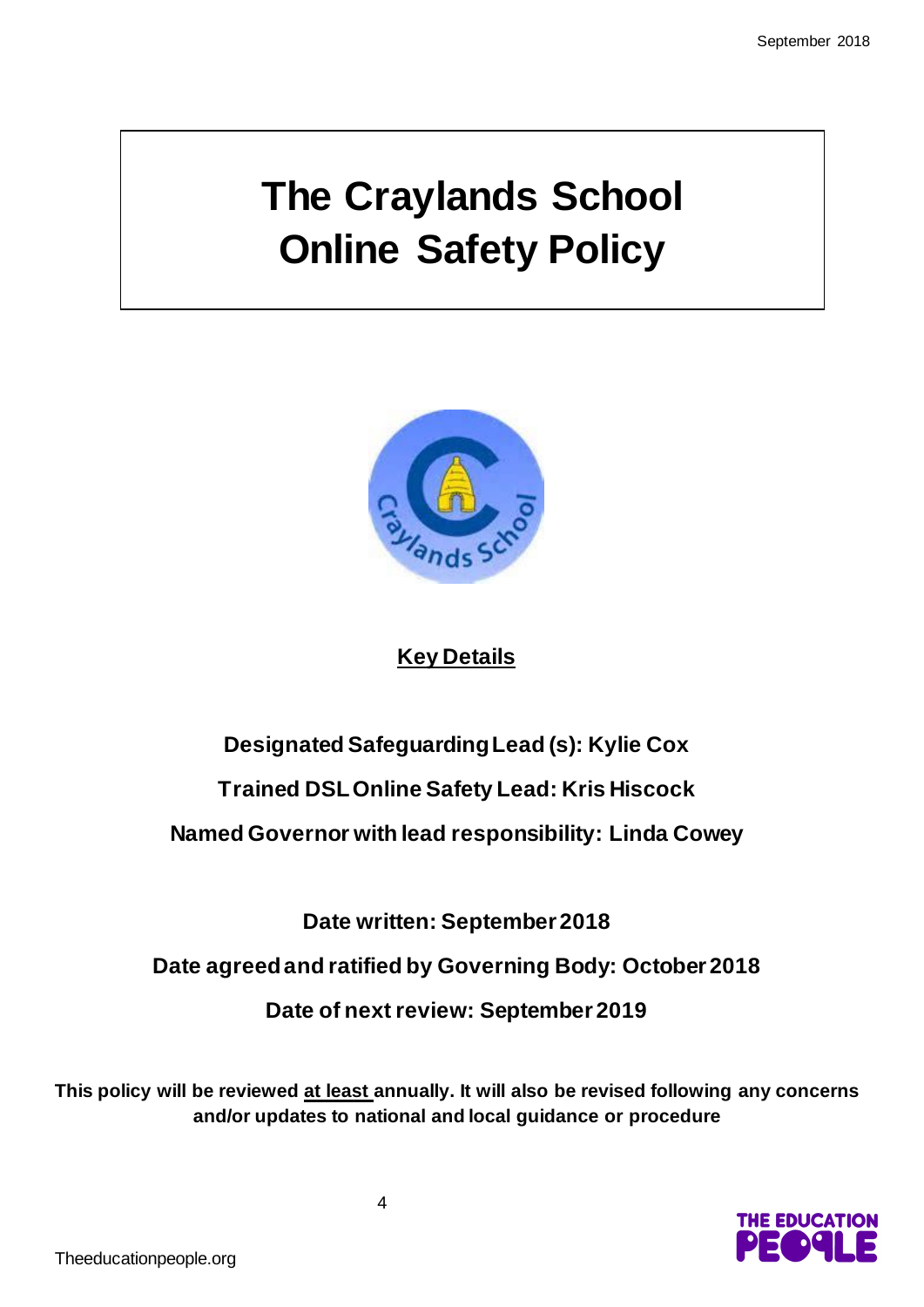# **The Craylands School Online Safety Policy**



# **Key Details**

# **Designated Safeguarding Lead (s): Kylie Cox**

**Trained DSL Online Safety Lead: Kris Hiscock**

**Named Governor with lead responsibility: Linda Cowey**

**Date written: September 2018 Date agreed and ratified by Governing Body: October 2018 Date of next review: September 2019**

**This policy will be reviewed at least annually. It will also be revised following any concerns and/or updates to national and local guidance or procedure**

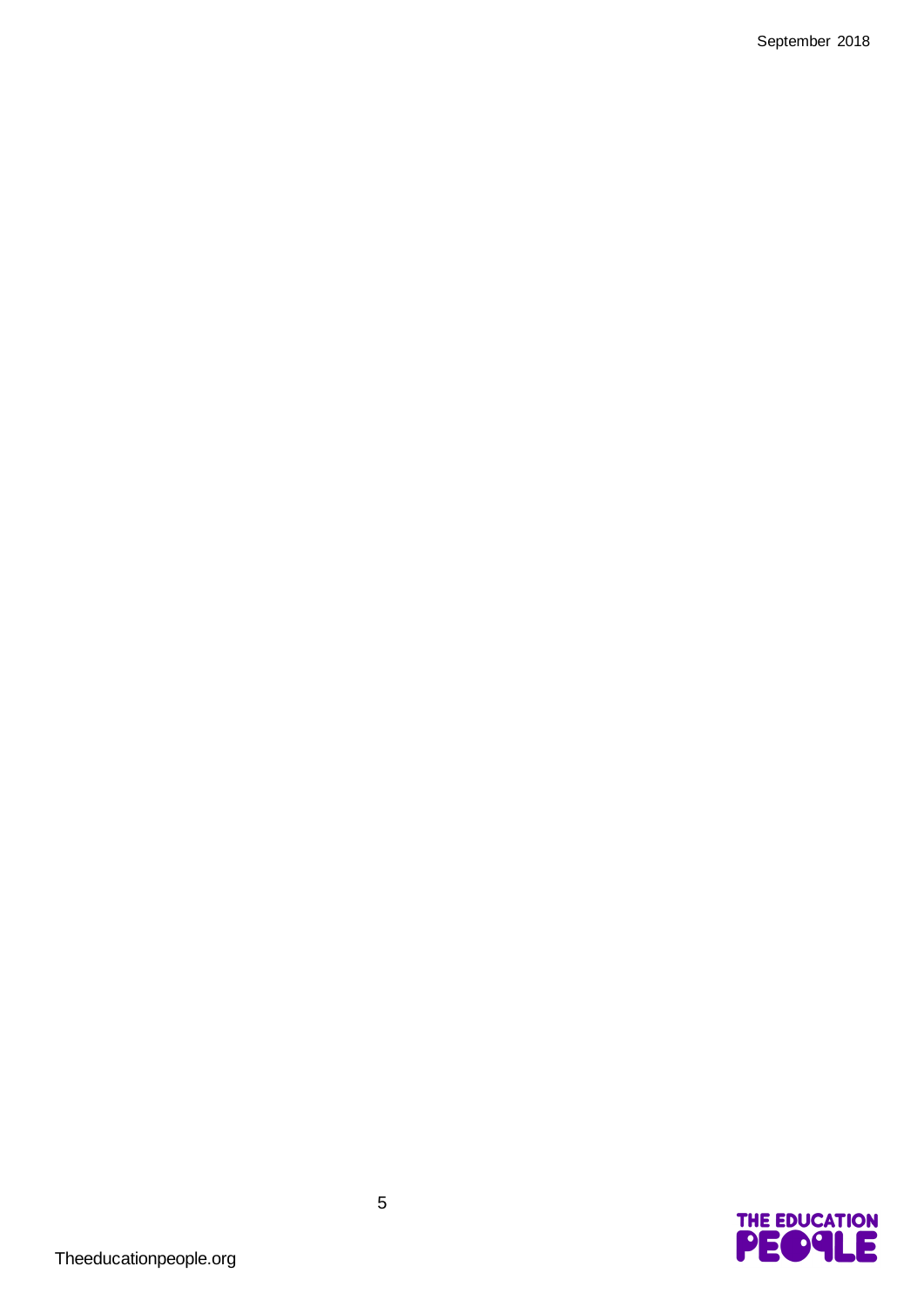September 2018



5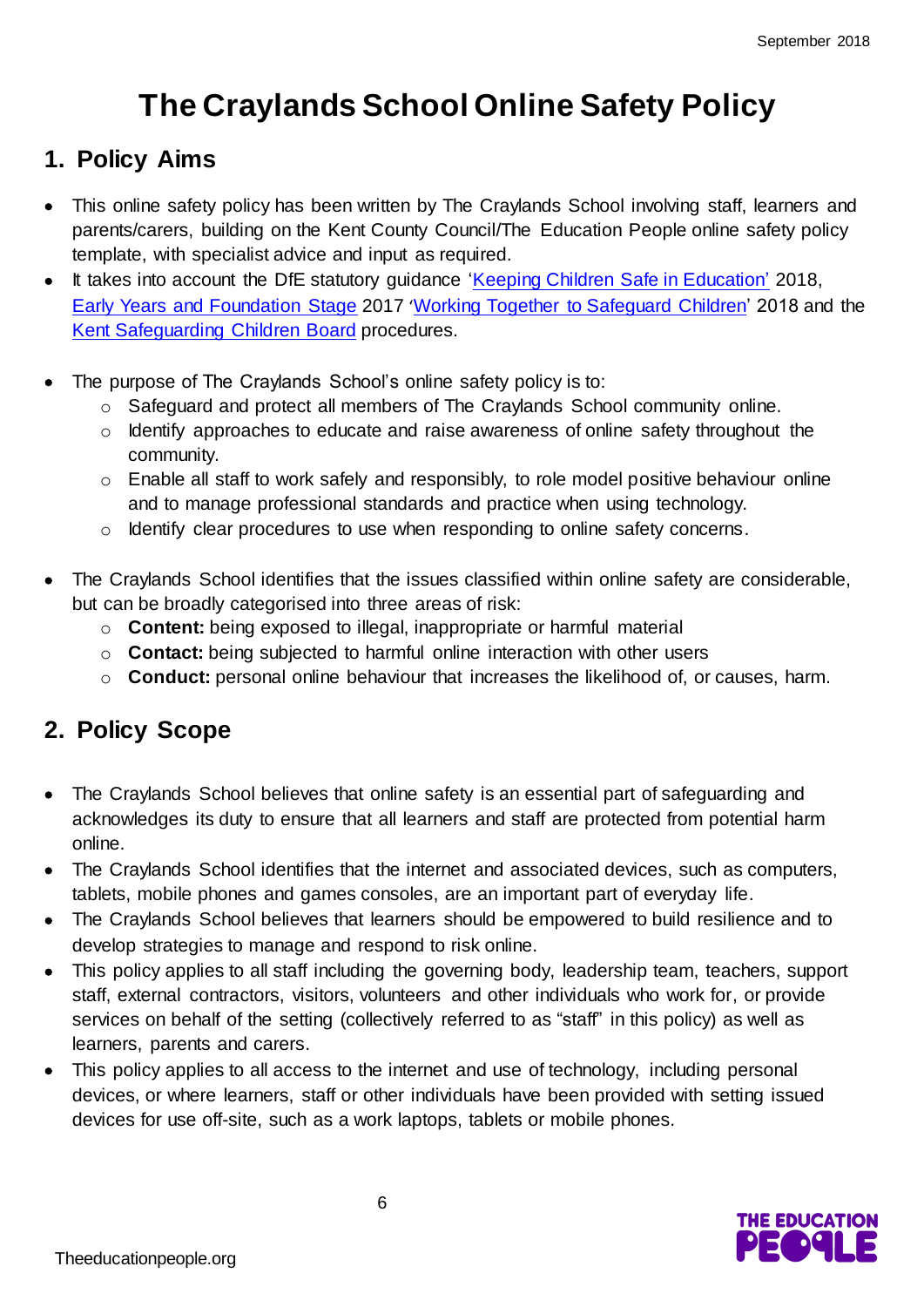# **The Craylands School Online Safety Policy**

# **1. Policy Aims**

- This online safety policy has been written by The Craylands School involving staff, learners and parents/carers, building on the Kent County Council/The Education People online safety policy template, with specialist advice and input as required.
- It takes into account the DfE statutory guidance ['Keeping Children Safe in Education'](https://www.gov.uk/government/publications/keeping-children-safe-in-education--2) 2018, [Early Years and Foundation Stage](https://www.gov.uk/government/publications/early-years-foundation-stage-framework--2) 2017 '[Working Together to Safeguard Children'](https://www.gov.uk/government/publications/working-together-to-safeguard-children--2) 2018 and the [Kent Safeguarding Children Board](http://www.kscb.org.uk/) procedures.
- The purpose of The Craylands School's online safety policy is to:
	- o Safeguard and protect all members of The Craylands School community online.
	- o Identify approaches to educate and raise awareness of online safety throughout the community.
	- o Enable all staff to work safely and responsibly, to role model positive behaviour online and to manage professional standards and practice when using technology.
	- o Identify clear procedures to use when responding to online safety concerns.
- The Craylands School identifies that the issues classified within online safety are considerable, but can be broadly categorised into three areas of risk:
	- o **Content:** being exposed to illegal, inappropriate or harmful material
	- o **Contact:** being subjected to harmful online interaction with other users
	- o **Conduct:** personal online behaviour that increases the likelihood of, or causes, harm.

# **2. Policy Scope**

- The Craylands School believes that online safety is an essential part of safeguarding and acknowledges its duty to ensure that all learners and staff are protected from potential harm online.
- The Craylands School identifies that the internet and associated devices, such as computers, tablets, mobile phones and games consoles, are an important part of everyday life.
- The Craylands School believes that learners should be empowered to build resilience and to develop strategies to manage and respond to risk online.
- This policy applies to all staff including the governing body, leadership team, teachers, support staff, external contractors, visitors, volunteers and other individuals who work for, or provide services on behalf of the setting (collectively referred to as "staff" in this policy) as well as learners, parents and carers.
- This policy applies to all access to the internet and use of technology, including personal devices, or where learners, staff or other individuals have been provided with setting issued devices for use off-site, such as a work laptops, tablets or mobile phones.

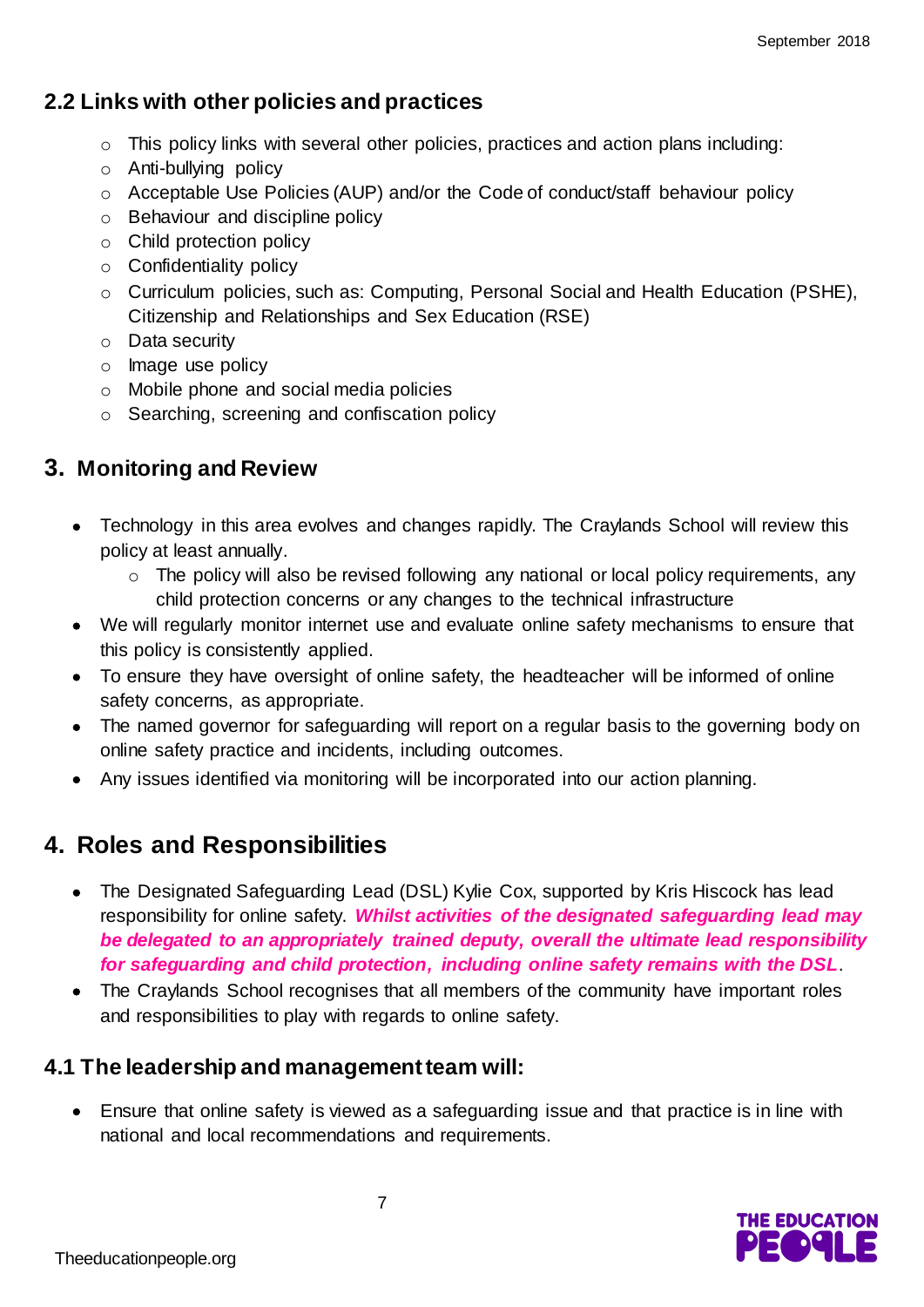# **2.2 Links with other policies and practices**

- $\circ$  This policy links with several other policies, practices and action plans including:
- o Anti-bullying policy
- o Acceptable Use Policies (AUP) and/or the Code of conduct/staff behaviour policy
- o Behaviour and discipline policy
- o Child protection policy
- $\circ$  Confidentiality policy
- o Curriculum policies, such as: Computing, Personal Social and Health Education (PSHE), Citizenship and Relationships and Sex Education (RSE)
- o Data security
- o Image use policy
- o Mobile phone and social media policies
- o Searching, screening and confiscation policy

# **3. Monitoring and Review**

- Technology in this area evolves and changes rapidly. The Craylands School will review this policy at least annually.
	- o The policy will also be revised following any national or local policy requirements, any child protection concerns or any changes to the technical infrastructure
- We will regularly monitor internet use and evaluate online safety mechanisms to ensure that this policy is consistently applied.
- To ensure they have oversight of online safety, the headteacher will be informed of online safety concerns, as appropriate.
- The named governor for safeguarding will report on a regular basis to the governing body on online safety practice and incidents, including outcomes.
- Any issues identified via monitoring will be incorporated into our action planning.

# **4. Roles and Responsibilities**

- The Designated Safeguarding Lead (DSL) Kylie Cox, supported by Kris Hiscock has lead responsibility for online safety. *Whilst activities of the designated safeguarding lead may be delegated to an appropriately trained deputy, overall the ultimate lead responsibility for safeguarding and child protection, including online safety remains with the DSL*.
- The Craylands School recognises that all members of the community have important roles and responsibilities to play with regards to online safety.

# **4.1 The leadership and management team will:**

 Ensure that online safety is viewed as a safeguarding issue and that practice is in line with national and local recommendations and requirements.

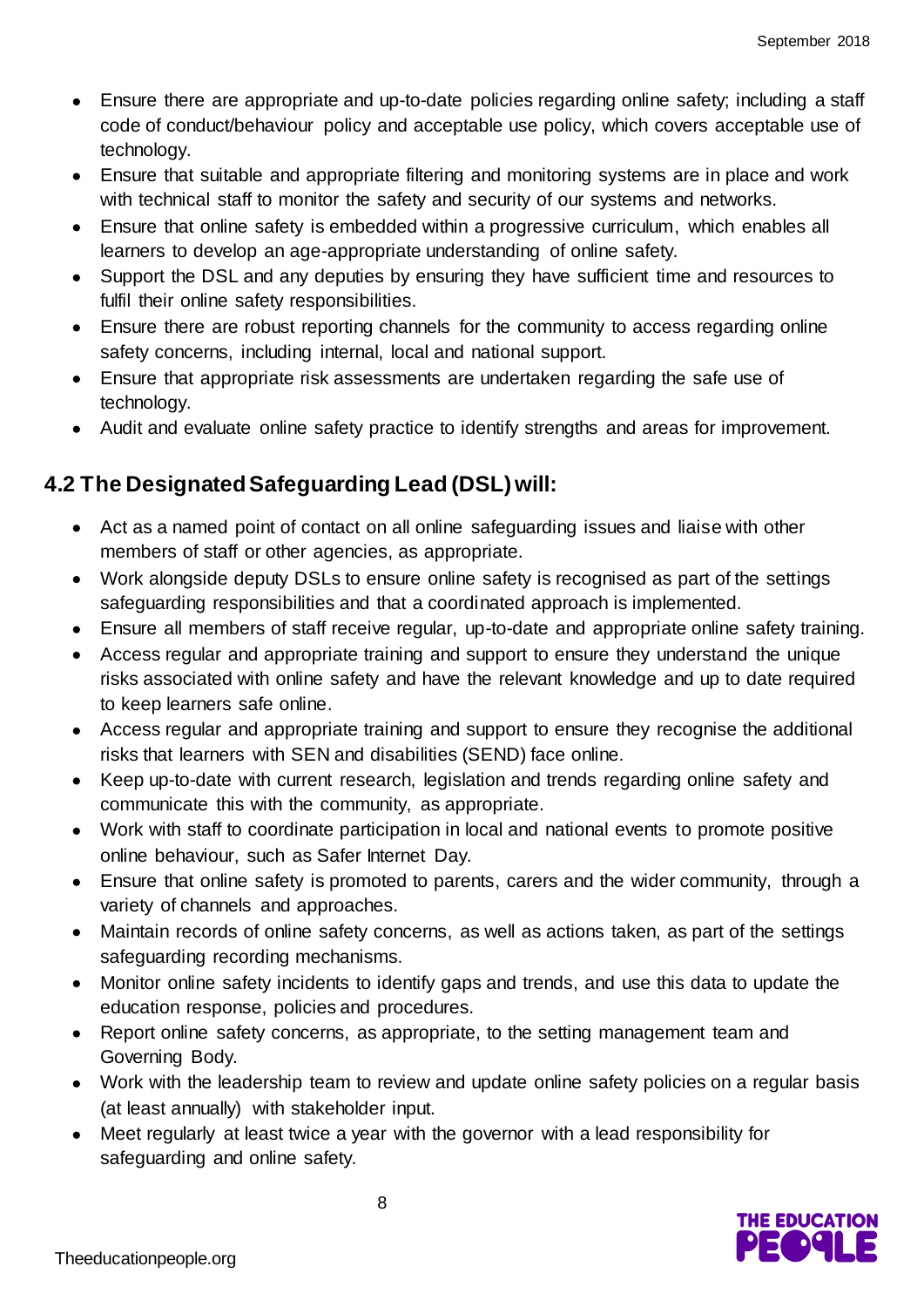- Ensure there are appropriate and up-to-date policies regarding online safety; including a staff code of conduct/behaviour policy and acceptable use policy, which covers acceptable use of technology.
- Ensure that suitable and appropriate filtering and monitoring systems are in place and work with technical staff to monitor the safety and security of our systems and networks.
- Ensure that online safety is embedded within a progressive curriculum, which enables all learners to develop an age-appropriate understanding of online safety.
- Support the DSL and any deputies by ensuring they have sufficient time and resources to fulfil their online safety responsibilities.
- Ensure there are robust reporting channels for the community to access regarding online safety concerns, including internal, local and national support.
- Ensure that appropriate risk assessments are undertaken regarding the safe use of technology.
- Audit and evaluate online safety practice to identify strengths and areas for improvement.

# **4.2 The DesignatedSafeguarding Lead (DSL) will:**

- Act as a named point of contact on all online safeguarding issues and liaise with other members of staff or other agencies, as appropriate.
- Work alongside deputy DSLs to ensure online safety is recognised as part of the settings safeguarding responsibilities and that a coordinated approach is implemented.
- Ensure all members of staff receive regular, up-to-date and appropriate online safety training.
- Access regular and appropriate training and support to ensure they understand the unique risks associated with online safety and have the relevant knowledge and up to date required to keep learners safe online.
- Access regular and appropriate training and support to ensure they recognise the additional risks that learners with SEN and disabilities (SEND) face online.
- Keep up-to-date with current research, legislation and trends regarding online safety and communicate this with the community, as appropriate.
- Work with staff to coordinate participation in local and national events to promote positive online behaviour, such as Safer Internet Day.
- Ensure that online safety is promoted to parents, carers and the wider community, through a variety of channels and approaches.
- Maintain records of online safety concerns, as well as actions taken, as part of the settings safeguarding recording mechanisms.
- Monitor online safety incidents to identify gaps and trends, and use this data to update the education response, policies and procedures.
- Report online safety concerns, as appropriate, to the setting management team and Governing Body.
- Work with the leadership team to review and update online safety policies on a regular basis (at least annually) with stakeholder input.
- Meet regularly at least twice a year with the governor with a lead responsibility for safeguarding and online safety.

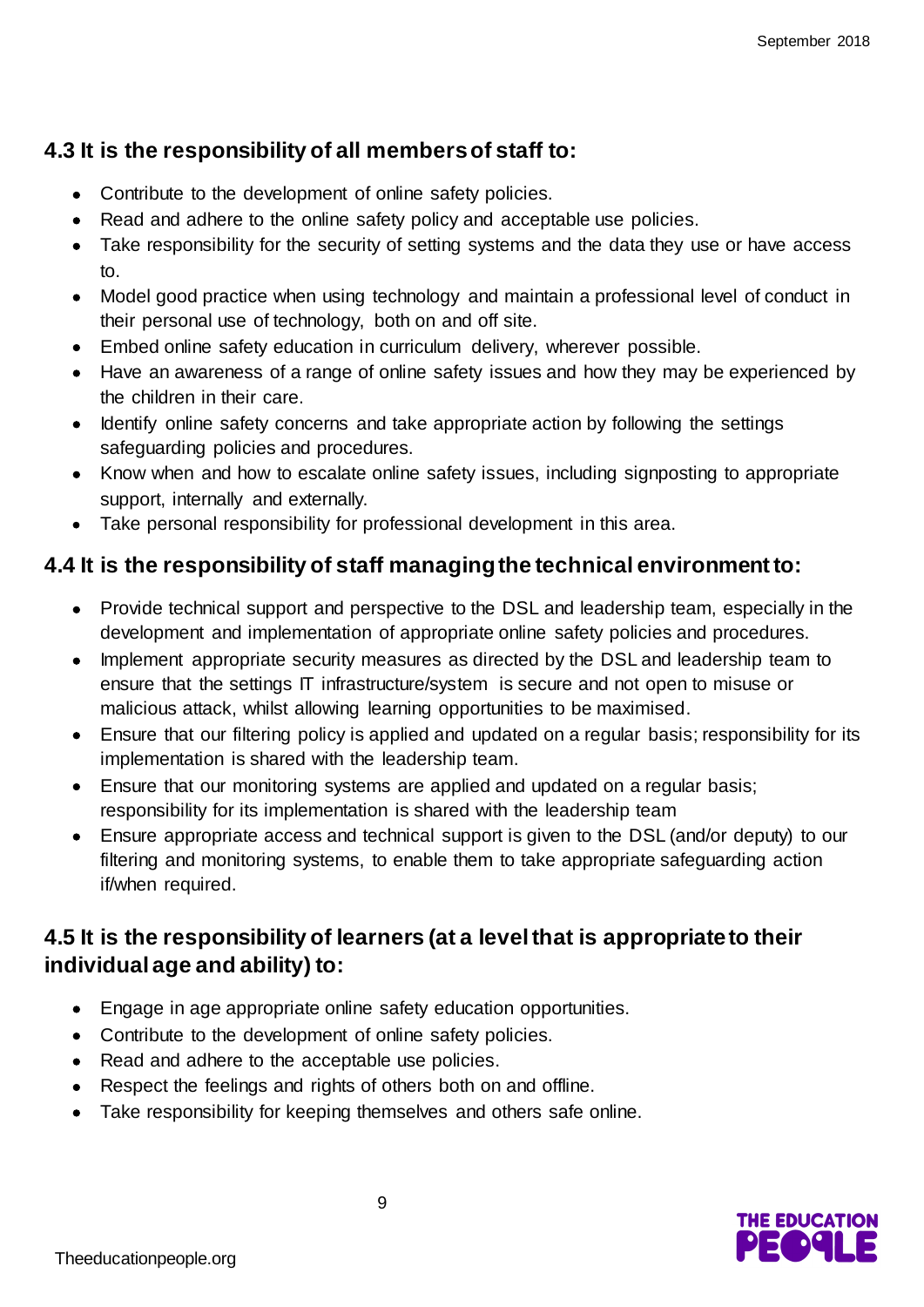# **4.3 It is the responsibility of all members of staff to:**

- Contribute to the development of online safety policies.
- Read and adhere to the online safety policy and acceptable use policies.
- Take responsibility for the security of setting systems and the data they use or have access to.
- Model good practice when using technology and maintain a professional level of conduct in their personal use of technology, both on and off site.
- Embed online safety education in curriculum delivery, wherever possible.
- Have an awareness of a range of online safety issues and how they may be experienced by the children in their care.
- Identify online safety concerns and take appropriate action by following the settings safeguarding policies and procedures.
- Know when and how to escalate online safety issues, including signposting to appropriate support, internally and externally.
- Take personal responsibility for professional development in this area.

# **4.4 It is the responsibility of staff managing the technical environment to:**

- Provide technical support and perspective to the DSL and leadership team, especially in the development and implementation of appropriate online safety policies and procedures.
- Implement appropriate security measures as directed by the DSL and leadership team to ensure that the settings IT infrastructure/system is secure and not open to misuse or malicious attack, whilst allowing learning opportunities to be maximised.
- Ensure that our filtering policy is applied and updated on a regular basis; responsibility for its implementation is shared with the leadership team.
- Ensure that our monitoring systems are applied and updated on a regular basis; responsibility for its implementation is shared with the leadership team
- Ensure appropriate access and technical support is given to the DSL (and/or deputy) to our filtering and monitoring systems, to enable them to take appropriate safeguarding action if/when required.

# **4.5 It is the responsibility of learners (at a level that is appropriate to their individual age and ability) to:**

- Engage in age appropriate online safety education opportunities.
- Contribute to the development of online safety policies.
- Read and adhere to the acceptable use policies.
- Respect the feelings and rights of others both on and offline.
- Take responsibility for keeping themselves and others safe online.

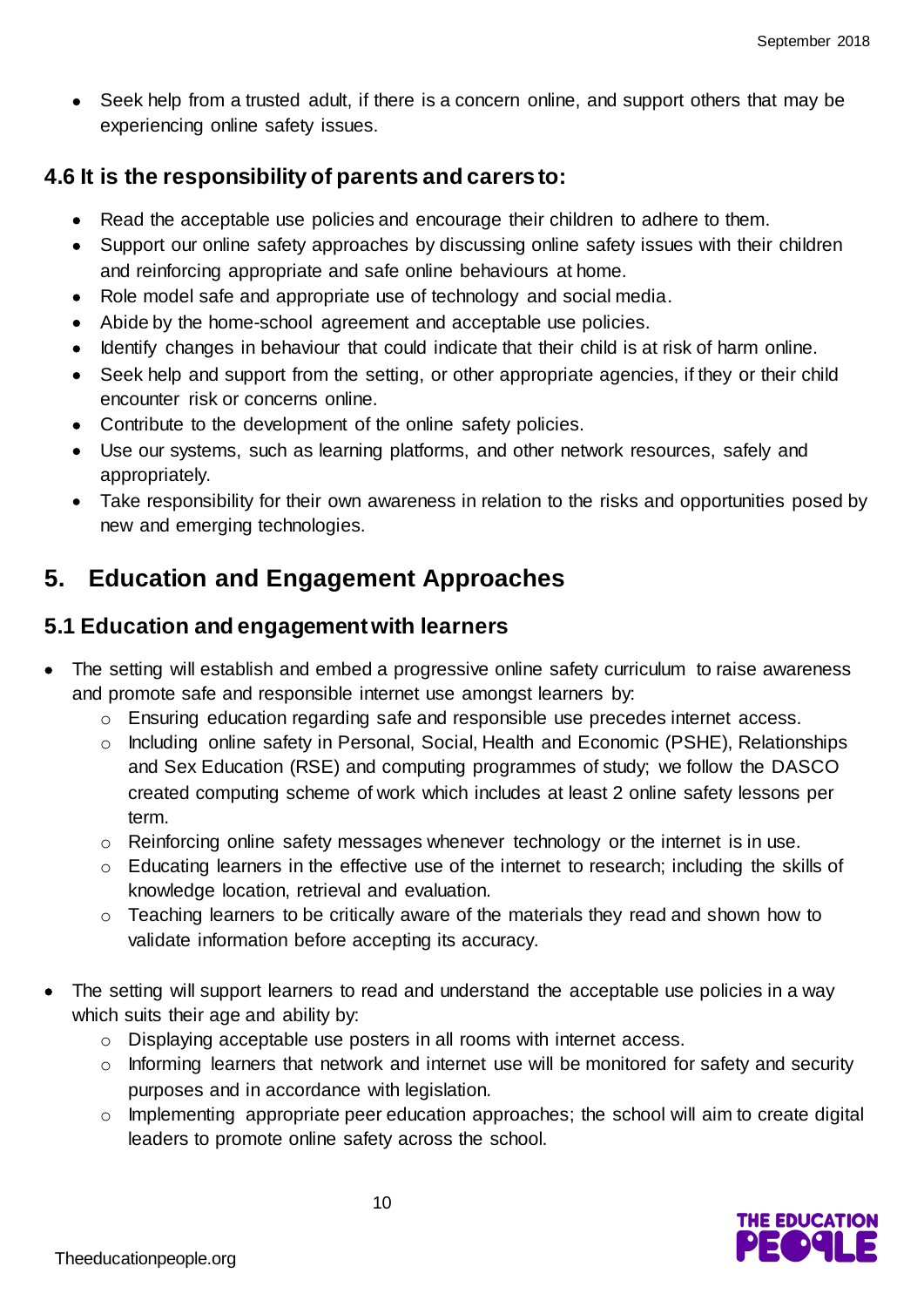• Seek help from a trusted adult, if there is a concern online, and support others that may be experiencing online safety issues.

## **4.6 It is the responsibility of parents and carers to:**

- Read the acceptable use policies and encourage their children to adhere to them.
- Support our online safety approaches by discussing online safety issues with their children and reinforcing appropriate and safe online behaviours at home.
- Role model safe and appropriate use of technology and social media.
- Abide by the home-school agreement and acceptable use policies.
- Identify changes in behaviour that could indicate that their child is at risk of harm online.
- Seek help and support from the setting, or other appropriate agencies, if they or their child encounter risk or concerns online.
- Contribute to the development of the online safety policies.
- Use our systems, such as learning platforms, and other network resources, safely and appropriately.
- Take responsibility for their own awareness in relation to the risks and opportunities posed by new and emerging technologies.

# **5. Education and Engagement Approaches**

#### **5.1 Education and engagement with learners**

- The setting will establish and embed a progressive online safety curriculum to raise awareness and promote safe and responsible internet use amongst learners by:
	- o Ensuring education regarding safe and responsible use precedes internet access.
	- o Including online safety in Personal, Social, Health and Economic (PSHE), Relationships and Sex Education (RSE) and computing programmes of study; we follow the DASCO created computing scheme of work which includes at least 2 online safety lessons per term.
	- o Reinforcing online safety messages whenever technology or the internet is in use.
	- o Educating learners in the effective use of the internet to research; including the skills of knowledge location, retrieval and evaluation.
	- o Teaching learners to be critically aware of the materials they read and shown how to validate information before accepting its accuracy.
- The setting will support learners to read and understand the acceptable use policies in a way which suits their age and ability by:
	- o Displaying acceptable use posters in all rooms with internet access.
	- o Informing learners that network and internet use will be monitored for safety and security purposes and in accordance with legislation.
	- o Implementing appropriate peer education approaches; the school will aim to create digital leaders to promote online safety across the school.

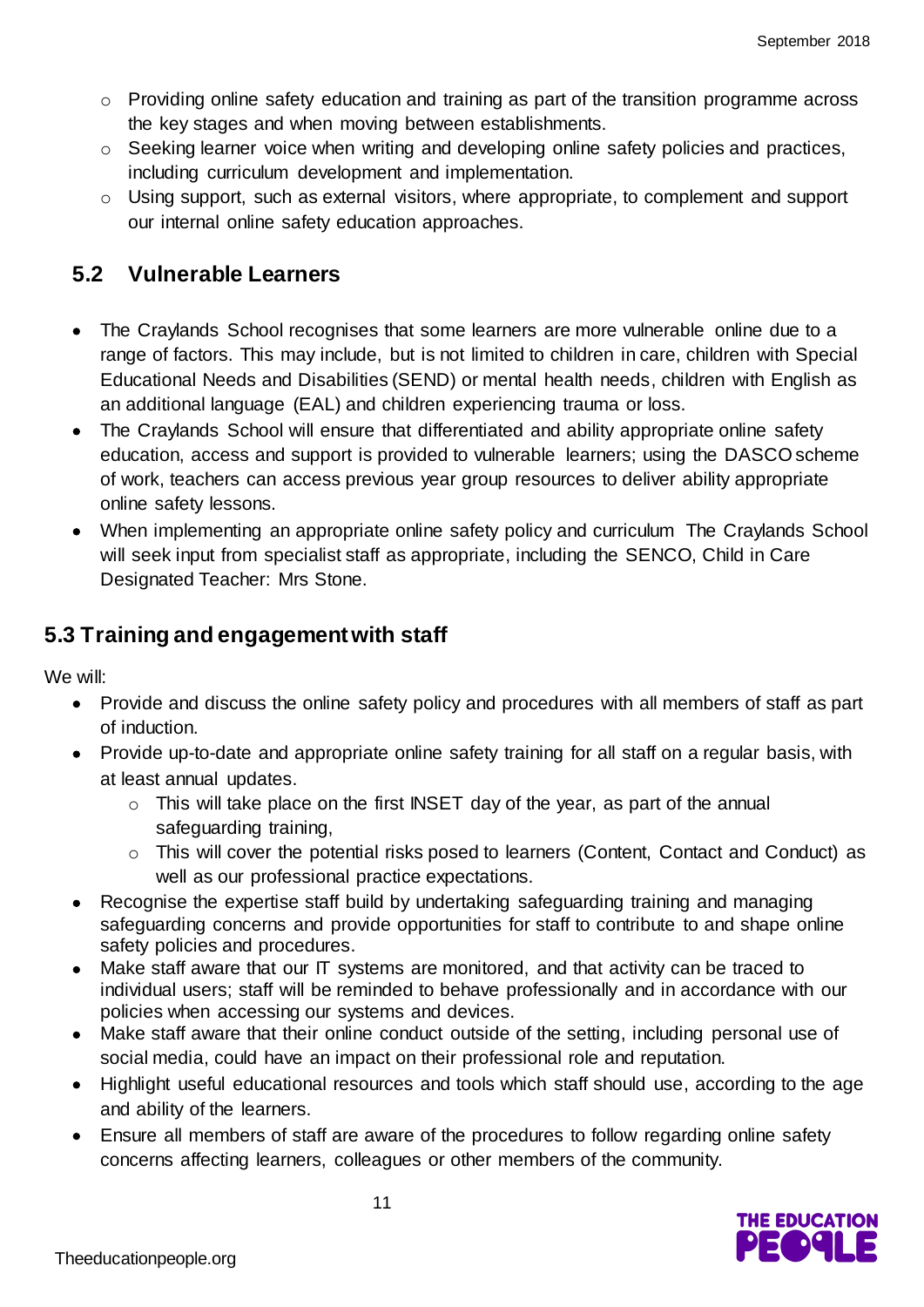- $\circ$  Providing online safety education and training as part of the transition programme across the key stages and when moving between establishments.
- o Seeking learner voice when writing and developing online safety policies and practices, including curriculum development and implementation.
- o Using support, such as external visitors, where appropriate, to complement and support our internal online safety education approaches.

# **5.2 Vulnerable Learners**

- The Craylands School recognises that some learners are more vulnerable online due to a range of factors. This may include, but is not limited to children in care, children with Special Educational Needs and Disabilities (SEND) or mental health needs, children with English as an additional language (EAL) and children experiencing trauma or loss.
- The Craylands School will ensure that differentiated and ability appropriate online safety education, access and support is provided to vulnerable learners; using the DASCO scheme of work, teachers can access previous year group resources to deliver ability appropriate online safety lessons.
- When implementing an appropriate online safety policy and curriculum The Craylands School will seek input from specialist staff as appropriate, including the SENCO, Child in Care Designated Teacher: Mrs Stone.

#### **5.3 Training and engagement with staff**

We will:

- Provide and discuss the online safety policy and procedures with all members of staff as part of induction.
- Provide up-to-date and appropriate online safety training for all staff on a regular basis, with at least annual updates.
	- o This will take place on the first INSET day of the year, as part of the annual safeguarding training,
	- o This will cover the potential risks posed to learners (Content, Contact and Conduct) as well as our professional practice expectations.
- Recognise the expertise staff build by undertaking safeguarding training and managing safeguarding concerns and provide opportunities for staff to contribute to and shape online safety policies and procedures.
- Make staff aware that our IT systems are monitored, and that activity can be traced to individual users; staff will be reminded to behave professionally and in accordance with our policies when accessing our systems and devices.
- Make staff aware that their online conduct outside of the setting, including personal use of social media, could have an impact on their professional role and reputation.
- Highlight useful educational resources and tools which staff should use, according to the age and ability of the learners.
- Ensure all members of staff are aware of the procedures to follow regarding online safety concerns affecting learners, colleagues or other members of the community.

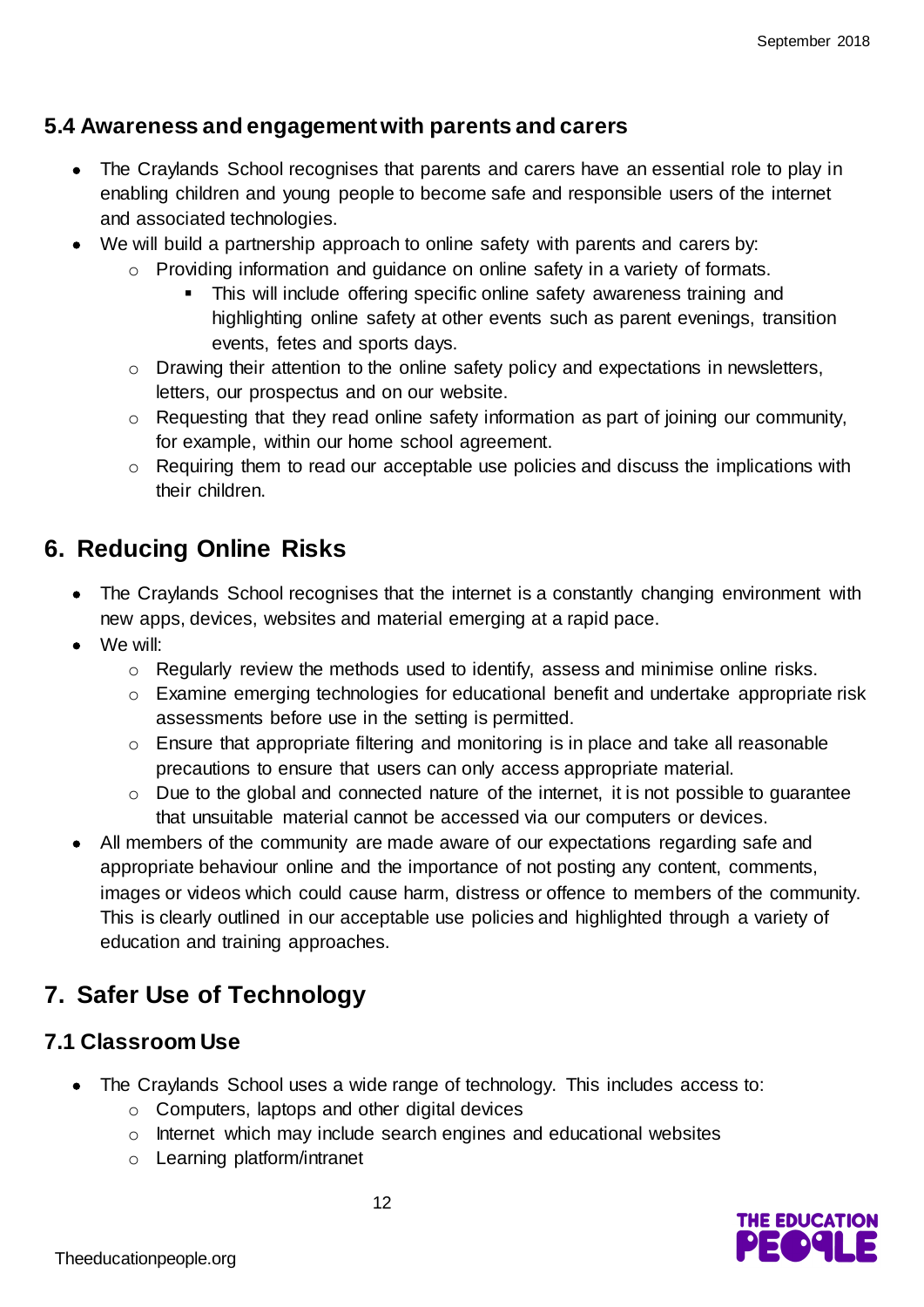#### **5.4 Awareness and engagement with parents and carers**

- The Craylands School recognises that parents and carers have an essential role to play in enabling children and young people to become safe and responsible users of the internet and associated technologies.
- We will build a partnership approach to online safety with parents and carers by:
	- o Providing information and guidance on online safety in a variety of formats.
		- This will include offering specific online safety awareness training and highlighting online safety at other events such as parent evenings, transition events, fetes and sports days.
	- o Drawing their attention to the online safety policy and expectations in newsletters, letters, our prospectus and on our website.
	- o Requesting that they read online safety information as part of joining our community, for example, within our home school agreement.
	- o Requiring them to read our acceptable use policies and discuss the implications with their children.

# **6. Reducing Online Risks**

- The Craylands School recognises that the internet is a constantly changing environment with new apps, devices, websites and material emerging at a rapid pace.
- We will:
	- o Regularly review the methods used to identify, assess and minimise online risks.
	- o Examine emerging technologies for educational benefit and undertake appropriate risk assessments before use in the setting is permitted.
	- $\circ$  Ensure that appropriate filtering and monitoring is in place and take all reasonable precautions to ensure that users can only access appropriate material.
	- $\circ$  Due to the global and connected nature of the internet, it is not possible to guarantee that unsuitable material cannot be accessed via our computers or devices.
- All members of the community are made aware of our expectations regarding safe and appropriate behaviour online and the importance of not posting any content, comments, images or videos which could cause harm, distress or offence to members of the community. This is clearly outlined in our acceptable use policies and highlighted through a variety of education and training approaches.

# **7. Safer Use of Technology**

#### **7.1 Classroom Use**

- The Craylands School uses a wide range of technology. This includes access to:
	- o Computers, laptops and other digital devices
	- o Internet which may include search engines and educational websites
	- o Learning platform/intranet

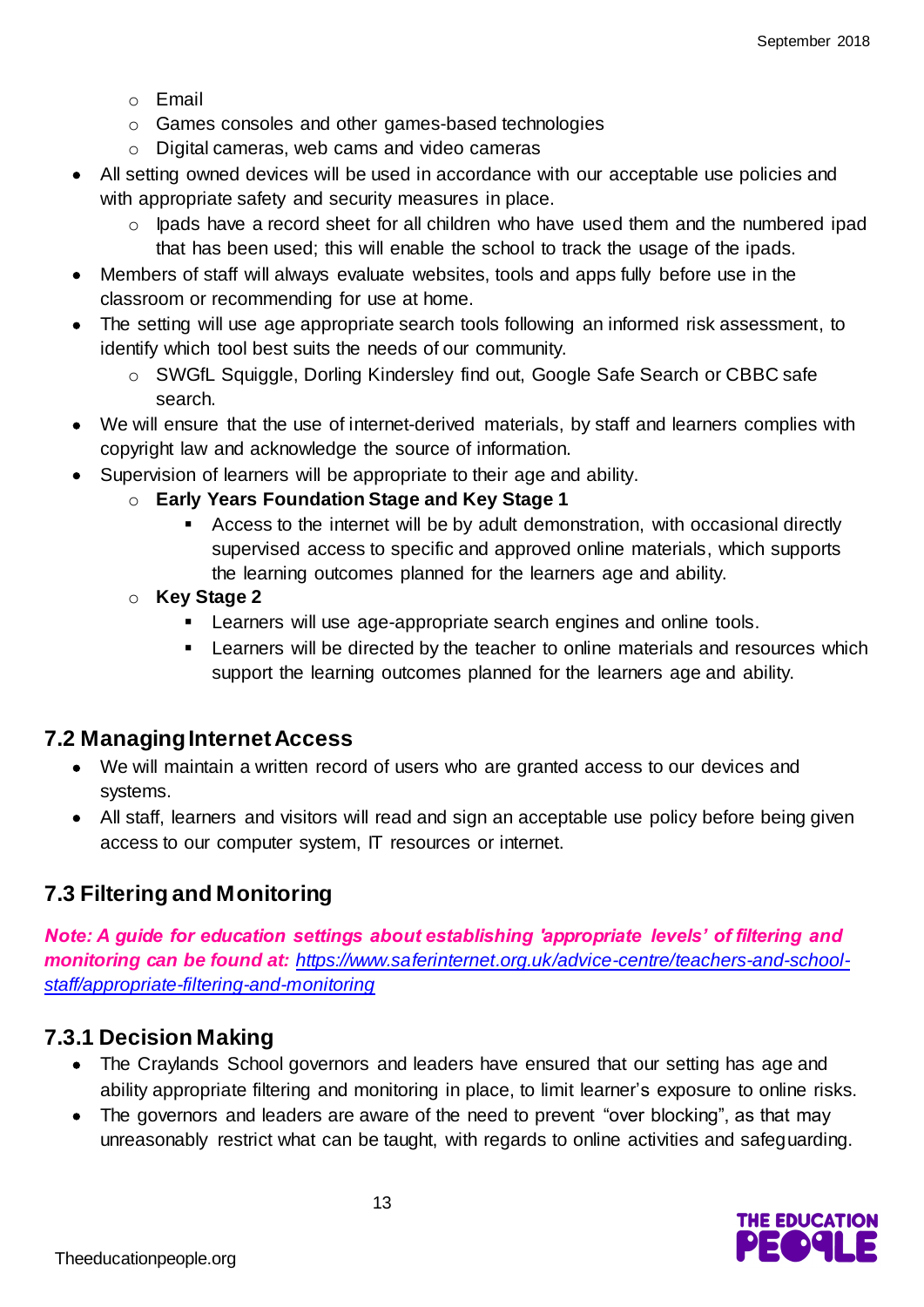- o Email
- o Games consoles and other games-based technologies
- o Digital cameras, web cams and video cameras
- All setting owned devices will be used in accordance with our acceptable use policies and with appropriate safety and security measures in place.
	- o Ipads have a record sheet for all children who have used them and the numbered ipad that has been used; this will enable the school to track the usage of the ipads.
- Members of staff will always evaluate websites, tools and apps fully before use in the classroom or recommending for use at home.
- The setting will use age appropriate search tools following an informed risk assessment, to identify which tool best suits the needs of our community.
	- o SWGfL Squiggle, Dorling Kindersley find out, Google Safe Search or CBBC safe search.
- We will ensure that the use of internet-derived materials, by staff and learners complies with copyright law and acknowledge the source of information.
- Supervision of learners will be appropriate to their age and ability.
	- o **Early Years Foundation Stage and Key Stage 1**
		- Access to the internet will be by adult demonstration, with occasional directly supervised access to specific and approved online materials, which supports the learning outcomes planned for the learners age and ability.
	- o **Key Stage 2** 
		- **EXECT** Learners will use age-appropriate search engines and online tools.
		- **EXECT** Learners will be directed by the teacher to online materials and resources which support the learning outcomes planned for the learners age and ability.

#### **7.2 Managing Internet Access**

- We will maintain a written record of users who are granted access to our devices and systems.
- All staff, learners and visitors will read and sign an acceptable use policy before being given access to our computer system, IT resources or internet.

# **7.3 Filtering and Monitoring**

*Note: A guide for education settings about establishing 'appropriate levels' of filtering and monitoring can be found at: [https://www.saferinternet.org.uk/advice-centre/teachers-and-school](https://www.saferinternet.org.uk/advice-centre/teachers-and-school-staff/appropriate-filtering-and-monitoring)[staff/appropriate-filtering-and-monitoring](https://www.saferinternet.org.uk/advice-centre/teachers-and-school-staff/appropriate-filtering-and-monitoring)*

#### **7.3.1 Decision Making**

- The Craylands School governors and leaders have ensured that our setting has age and ability appropriate filtering and monitoring in place, to limit learner's exposure to online risks.
- The governors and leaders are aware of the need to prevent "over blocking", as that may unreasonably restrict what can be taught, with regards to online activities and safeguarding.

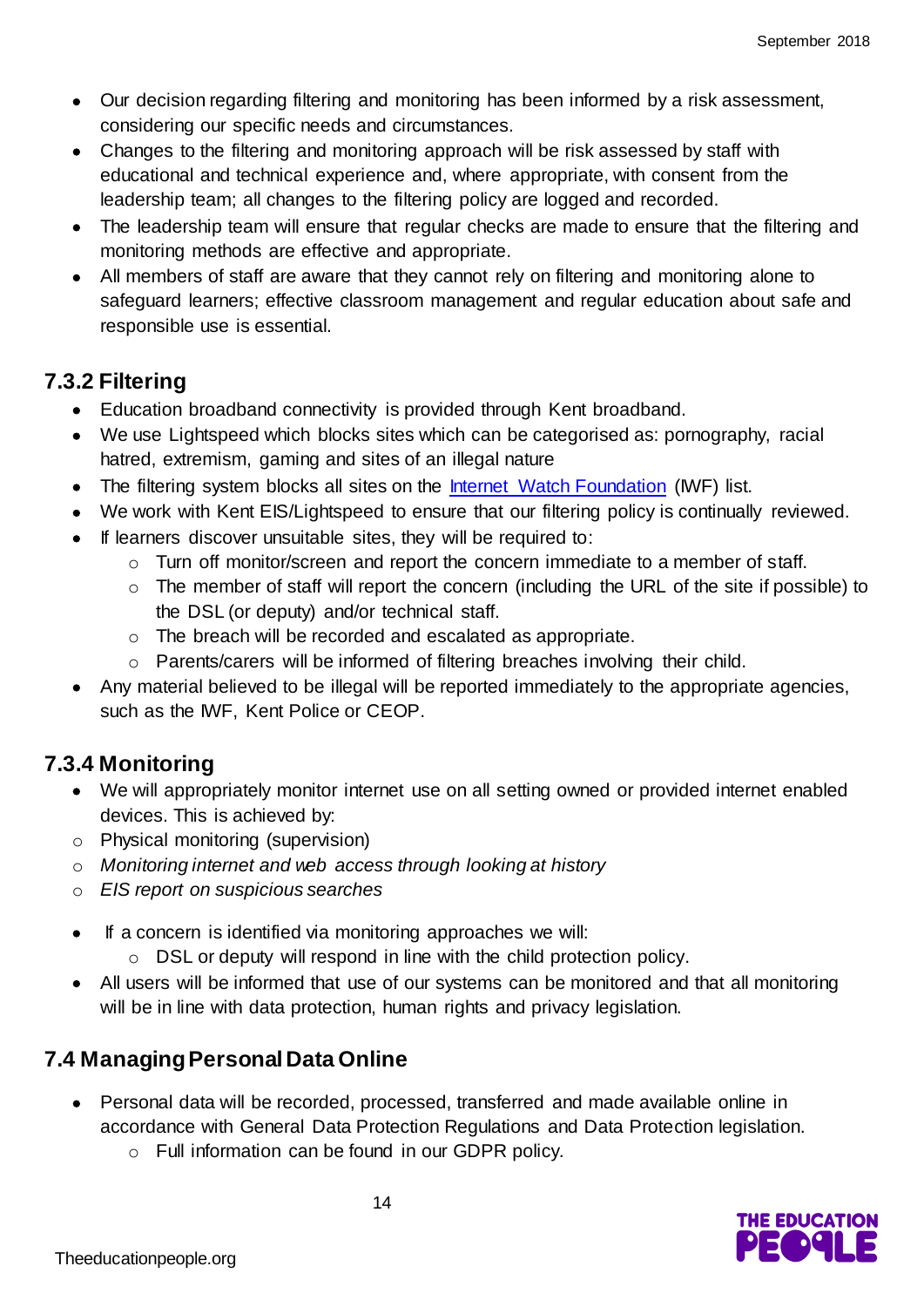- Our decision regarding filtering and monitoring has been informed by a risk assessment, considering our specific needs and circumstances.
- Changes to the filtering and monitoring approach will be risk assessed by staff with educational and technical experience and, where appropriate, with consent from the leadership team; all changes to the filtering policy are logged and recorded.
- The leadership team will ensure that regular checks are made to ensure that the filtering and monitoring methods are effective and appropriate.
- All members of staff are aware that they cannot rely on filtering and monitoring alone to safeguard learners; effective classroom management and regular education about safe and responsible use is essential.

# **7.3.2 Filtering**

- Education broadband connectivity is provided through Kent broadband.
- We use Lightspeed which blocks sites which can be categorised as: pornography, racial hatred, extremism, gaming and sites of an illegal nature
- The filtering system blocks all sites on the [Internet Watch Foundation](https://www.iwf.org.uk/) (IWF) list.
- We work with Kent EIS/Lightspeed to ensure that our filtering policy is continually reviewed.
- If learners discover unsuitable sites, they will be required to:
	- $\circ$  Turn off monitor/screen and report the concern immediate to a member of staff.
	- o The member of staff will report the concern (including the URL of the site if possible) to the DSL (or deputy) and/or technical staff.
	- o The breach will be recorded and escalated as appropriate.
	- o Parents/carers will be informed of filtering breaches involving their child.
- Any material believed to be illegal will be reported immediately to the appropriate agencies, such as the IWF, Kent Police or CEOP.

# **7.3.4 Monitoring**

- We will appropriately monitor internet use on all setting owned or provided internet enabled devices. This is achieved by:
- o Physical monitoring (supervision)
- o *Monitoring internet and web access through looking at history*
- o *EIS report on suspicious searches*
- If a concern is identified via monitoring approaches we will:
	- o DSL or deputy will respond in line with the child protection policy.
- All users will be informed that use of our systems can be monitored and that all monitoring will be in line with data protection, human rights and privacy legislation.

# **7.4 Managing Personal Data Online**

- Personal data will be recorded, processed, transferred and made available online in accordance with General Data Protection Regulations and Data Protection legislation.
	- o Full information can be found in our GDPR policy.

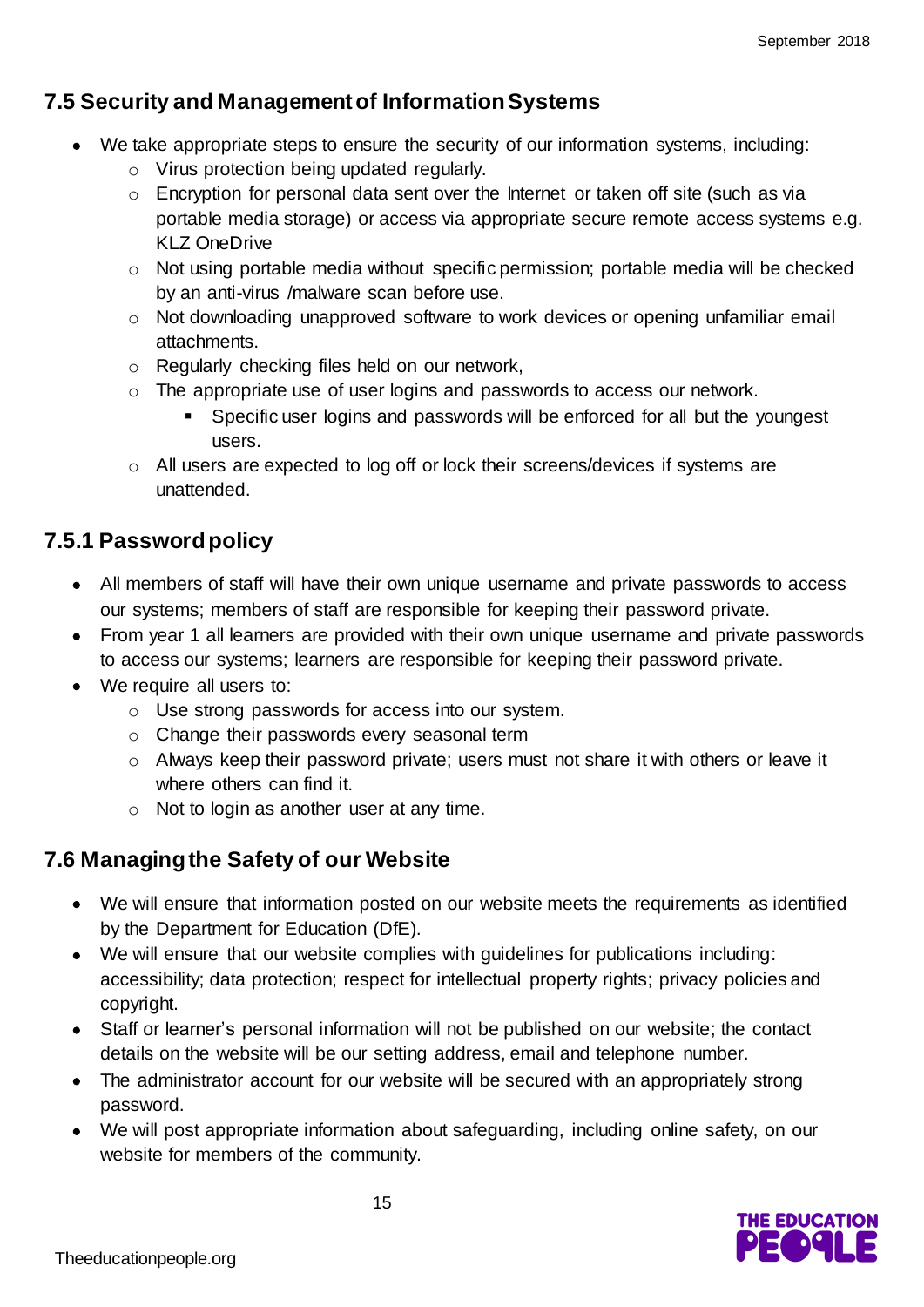# **7.5 Security and Management of Information Systems**

- We take appropriate steps to ensure the security of our information systems, including:
	- o Virus protection being updated regularly.
	- o Encryption for personal data sent over the Internet or taken off site (such as via portable media storage) or access via appropriate secure remote access systems e.g. KLZ OneDrive
	- o Not using portable media without specific permission; portable media will be checked by an anti-virus /malware scan before use.
	- o Not downloading unapproved software to work devices or opening unfamiliar email attachments.
	- o Regularly checking files held on our network,
	- o The appropriate use of user logins and passwords to access our network.
		- Specific user logins and passwords will be enforced for all but the youngest users.
	- o All users are expected to log off or lock their screens/devices if systems are unattended.

# **7.5.1 Password policy**

- All members of staff will have their own unique username and private passwords to access our systems; members of staff are responsible for keeping their password private.
- From year 1 all learners are provided with their own unique username and private passwords to access our systems; learners are responsible for keeping their password private.
- We require all users to:
	- o Use strong passwords for access into our system.
	- o Change their passwords every seasonal term
	- o Always keep their password private; users must not share it with others or leave it where others can find it.
	- $\circ$  Not to login as another user at any time.

# **7.6 Managing the Safety of our Website**

- We will ensure that information posted on our website meets the requirements as identified by the Department for Education (DfE).
- We will ensure that our website complies with guidelines for publications including: accessibility; data protection; respect for intellectual property rights; privacy policies and copyright.
- Staff or learner's personal information will not be published on our website; the contact details on the website will be our setting address, email and telephone number.
- The administrator account for our website will be secured with an appropriately strong password.
- We will post appropriate information about safeguarding, including online safety, on our website for members of the community.

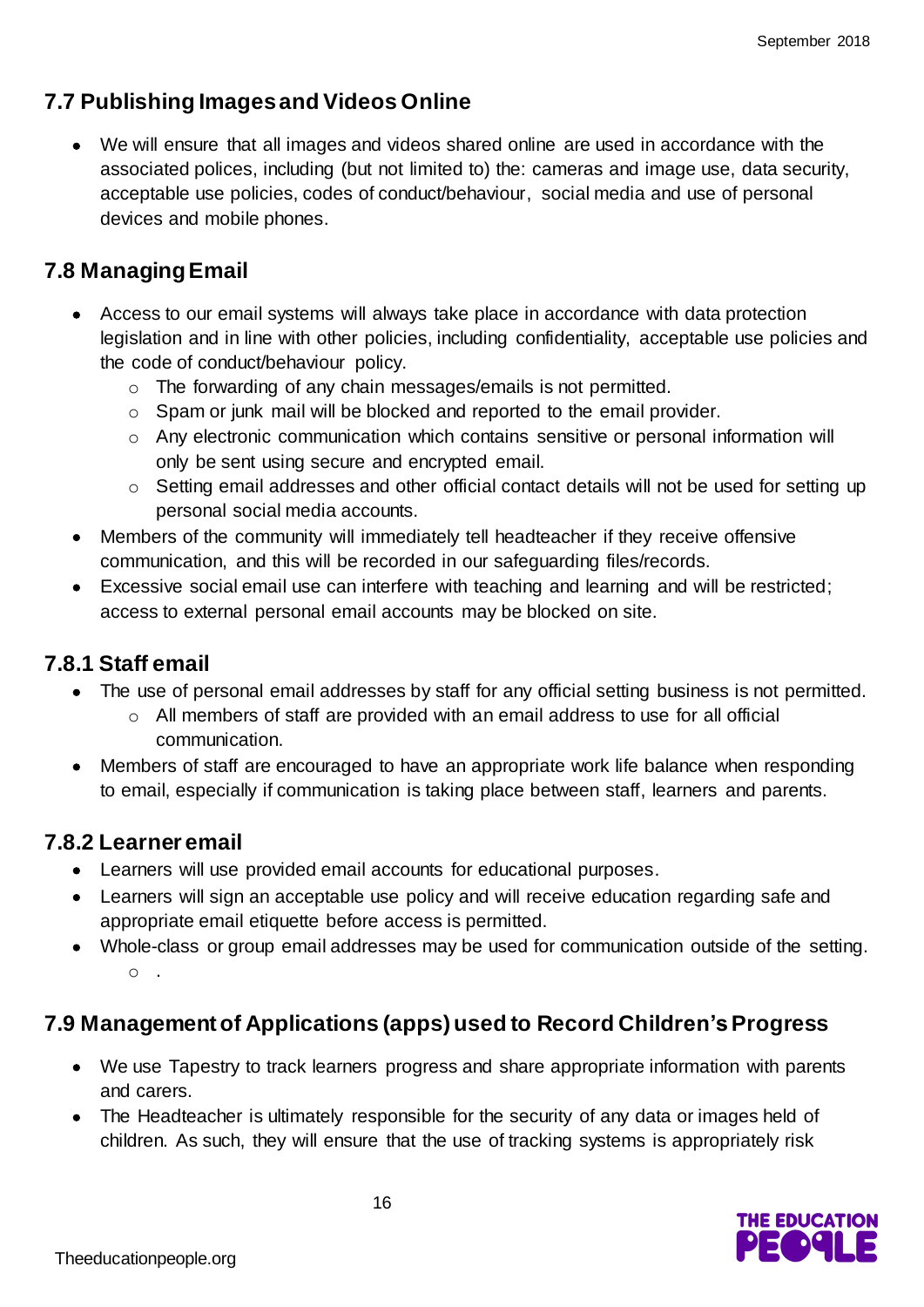# **7.7 Publishing Images and Videos Online**

 We will ensure that all images and videos shared online are used in accordance with the associated polices, including (but not limited to) the: cameras and image use, data security, acceptable use policies, codes of conduct/behaviour, social media and use of personal devices and mobile phones.

# **7.8 ManagingEmail**

- Access to our email systems will always take place in accordance with data protection legislation and in line with other policies, including confidentiality, acceptable use policies and the code of conduct/behaviour policy.
	- o The forwarding of any chain messages/emails is not permitted.
	- o Spam or junk mail will be blocked and reported to the email provider.
	- o Any electronic communication which contains sensitive or personal information will only be sent using secure and encrypted email.
	- o Setting email addresses and other official contact details will not be used for setting up personal social media accounts.
- Members of the community will immediately tell headteacher if they receive offensive communication, and this will be recorded in our safeguarding files/records.
- Excessive social email use can interfere with teaching and learning and will be restricted; access to external personal email accounts may be blocked on site.

## **7.8.1 Staff email**

- The use of personal email addresses by staff for any official setting business is not permitted.
	- o All members of staff are provided with an email address to use for all official communication.
- Members of staff are encouraged to have an appropriate work life balance when responding to email, especially if communication is taking place between staff, learners and parents.

#### **7.8.2 Learner email**

- Learners will use provided email accounts for educational purposes.
- Learners will sign an acceptable use policy and will receive education regarding safe and appropriate email etiquette before access is permitted.
- Whole-class or group email addresses may be used for communication outside of the setting.  $\circ$  .

# **7.9 Management of Applications (apps) used to Record Children's Progress**

- We use Tapestry to track learners progress and share appropriate information with parents and carers.
- The Headteacher is ultimately responsible for the security of any data or images held of children. As such, they will ensure that the use of tracking systems is appropriately risk

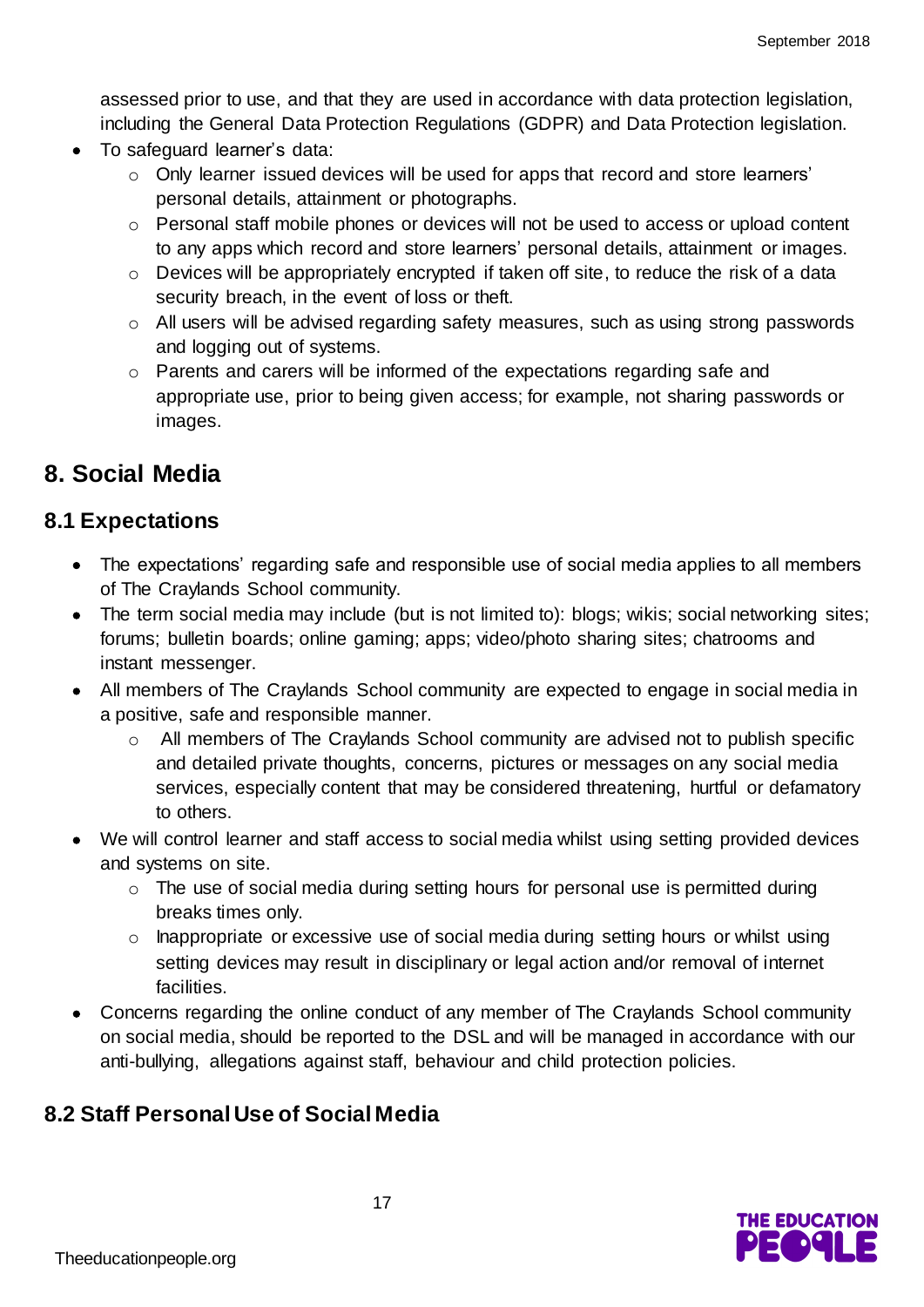assessed prior to use, and that they are used in accordance with data protection legislation, including the General Data Protection Regulations (GDPR) and Data Protection legislation.

- To safeguard learner's data:
	- o Only learner issued devices will be used for apps that record and store learners' personal details, attainment or photographs.
	- o Personal staff mobile phones or devices will not be used to access or upload content to any apps which record and store learners' personal details, attainment or images.
	- $\circ$  Devices will be appropriately encrypted if taken off site, to reduce the risk of a data security breach, in the event of loss or theft.
	- o All users will be advised regarding safety measures, such as using strong passwords and logging out of systems.
	- o Parents and carers will be informed of the expectations regarding safe and appropriate use, prior to being given access; for example, not sharing passwords or images.

# **8. Social Media**

#### **8.1 Expectations**

- The expectations' regarding safe and responsible use of social media applies to all members of The Craylands School community.
- The term social media may include (but is not limited to): blogs; wikis; social networking sites; forums; bulletin boards; online gaming; apps; video/photo sharing sites; chatrooms and instant messenger.
- All members of The Craylands School community are expected to engage in social media in a positive, safe and responsible manner.
	- o All members of The Craylands School community are advised not to publish specific and detailed private thoughts, concerns, pictures or messages on any social media services, especially content that may be considered threatening, hurtful or defamatory to others.
- We will control learner and staff access to social media whilst using setting provided devices and systems on site.
	- o The use of social media during setting hours for personal use is permitted during breaks times only.
	- o Inappropriate or excessive use of social media during setting hours or whilst using setting devices may result in disciplinary or legal action and/or removal of internet facilities.
- Concerns regarding the online conduct of any member of The Craylands School community on social media, should be reported to the DSL and will be managed in accordance with our anti-bullying, allegations against staff, behaviour and child protection policies.

# **8.2 Staff Personal Use of Social Media**

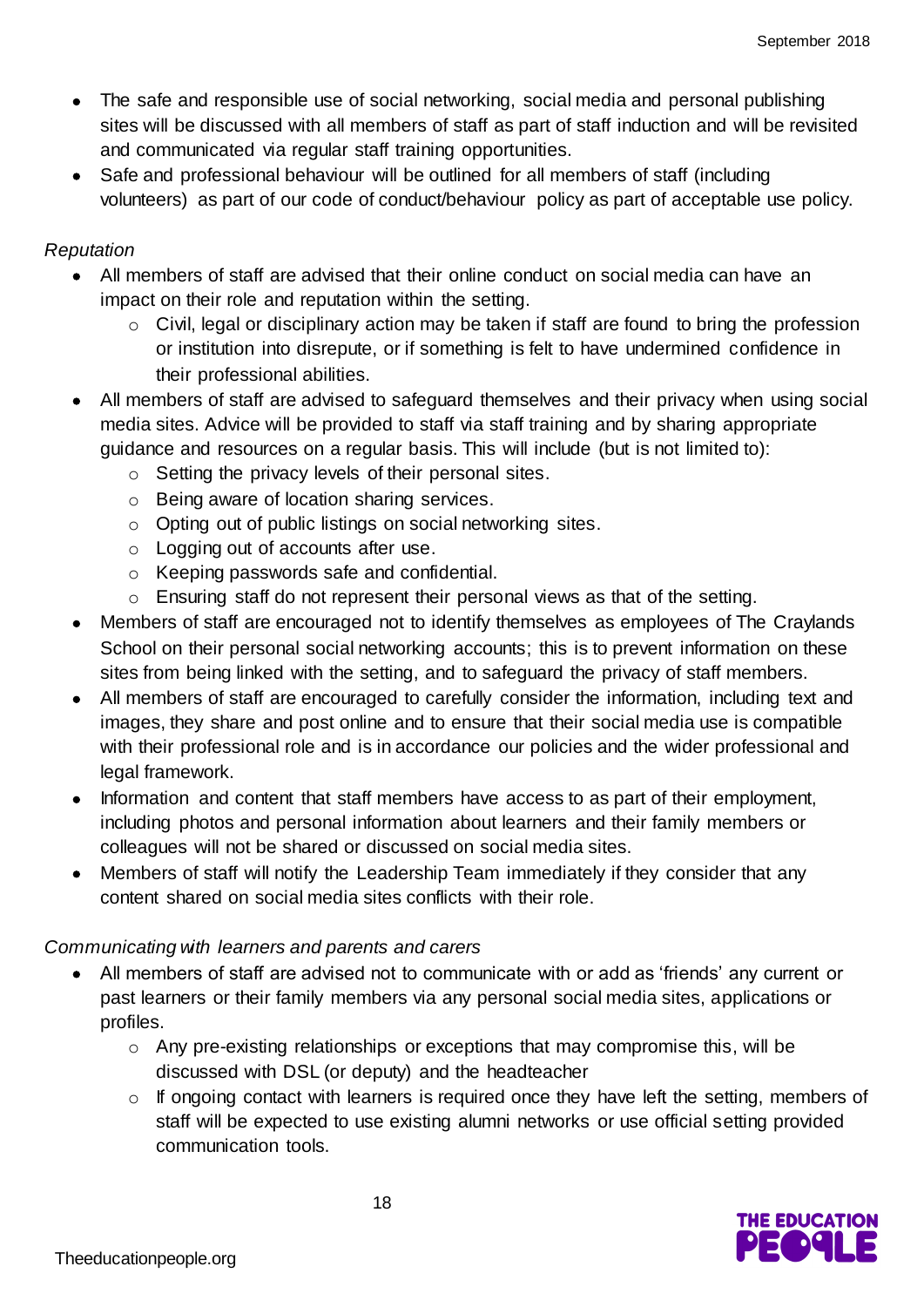- The safe and responsible use of social networking, social media and personal publishing sites will be discussed with all members of staff as part of staff induction and will be revisited and communicated via regular staff training opportunities.
- Safe and professional behaviour will be outlined for all members of staff (including volunteers) as part of our code of conduct/behaviour policy as part of acceptable use policy.

#### *Reputation*

- All members of staff are advised that their online conduct on social media can have an impact on their role and reputation within the setting.
	- o Civil, legal or disciplinary action may be taken if staff are found to bring the profession or institution into disrepute, or if something is felt to have undermined confidence in their professional abilities.
- All members of staff are advised to safeguard themselves and their privacy when using social media sites. Advice will be provided to staff via staff training and by sharing appropriate guidance and resources on a regular basis. This will include (but is not limited to):
	- o Setting the privacy levels of their personal sites.
	- o Being aware of location sharing services.
	- o Opting out of public listings on social networking sites.
	- o Logging out of accounts after use.
	- o Keeping passwords safe and confidential.
	- o Ensuring staff do not represent their personal views as that of the setting.
- Members of staff are encouraged not to identify themselves as employees of The Craylands School on their personal social networking accounts; this is to prevent information on these sites from being linked with the setting, and to safeguard the privacy of staff members.
- All members of staff are encouraged to carefully consider the information, including text and images, they share and post online and to ensure that their social media use is compatible with their professional role and is in accordance our policies and the wider professional and legal framework.
- Information and content that staff members have access to as part of their employment, including photos and personal information about learners and their family members or colleagues will not be shared or discussed on social media sites.
- Members of staff will notify the Leadership Team immediately if they consider that any content shared on social media sites conflicts with their role.

#### *Communicating with learners and parents and carers*

- All members of staff are advised not to communicate with or add as 'friends' any current or past learners or their family members via any personal social media sites, applications or profiles.
	- o Any pre-existing relationships or exceptions that may compromise this, will be discussed with DSL (or deputy) and the headteacher
	- o If ongoing contact with learners is required once they have left the setting, members of staff will be expected to use existing alumni networks or use official setting provided communication tools.

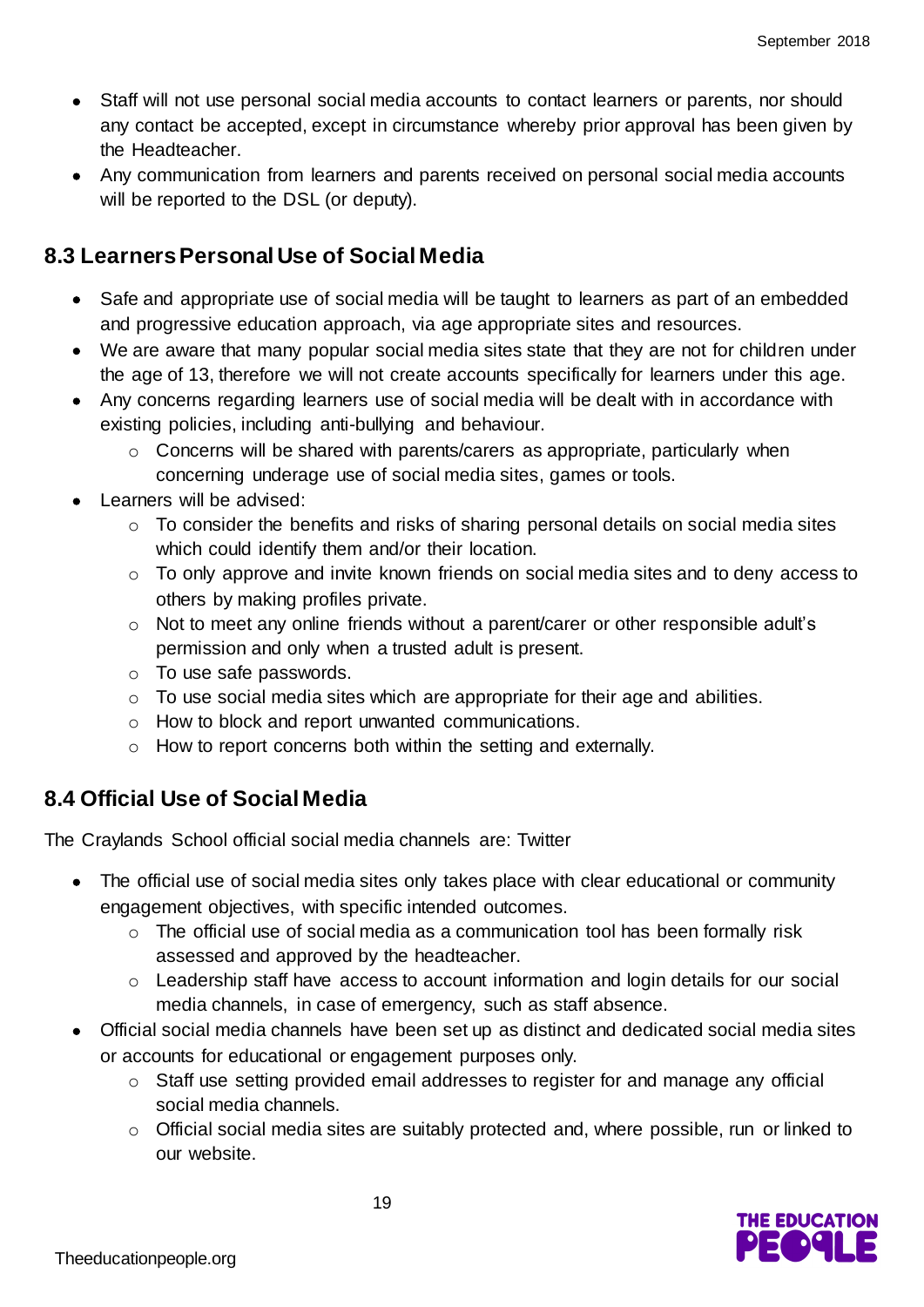- Staff will not use personal social media accounts to contact learners or parents, nor should any contact be accepted, except in circumstance whereby prior approval has been given by the Headteacher.
- Any communication from learners and parents received on personal social media accounts will be reported to the DSL (or deputy).

## **8.3 LearnersPersonal Use of Social Media**

- Safe and appropriate use of social media will be taught to learners as part of an embedded and progressive education approach, via age appropriate sites and resources.
- We are aware that many popular social media sites state that they are not for children under the age of 13, therefore we will not create accounts specifically for learners under this age.
- Any concerns regarding learners use of social media will be dealt with in accordance with existing policies, including anti-bullying and behaviour.
	- o Concerns will be shared with parents/carers as appropriate, particularly when concerning underage use of social media sites, games or tools.
- Learners will be advised:
	- $\circ$  To consider the benefits and risks of sharing personal details on social media sites which could identify them and/or their location.
	- $\circ$  To only approve and invite known friends on social media sites and to deny access to others by making profiles private.
	- o Not to meet any online friends without a parent/carer or other responsible adult's permission and only when a trusted adult is present.
	- o To use safe passwords.
	- $\circ$  To use social media sites which are appropriate for their age and abilities.
	- o How to block and report unwanted communications.
	- o How to report concerns both within the setting and externally.

# **8.4 Official Use of Social Media**

The Craylands School official social media channels are: Twitter

- The official use of social media sites only takes place with clear educational or community engagement objectives, with specific intended outcomes.
	- o The official use of social media as a communication tool has been formally risk assessed and approved by the headteacher.
	- o Leadership staff have access to account information and login details for our social media channels, in case of emergency, such as staff absence.
- Official social media channels have been set up as distinct and dedicated social media sites or accounts for educational or engagement purposes only.
	- o Staff use setting provided email addresses to register for and manage any official social media channels.
	- o Official social media sites are suitably protected and, where possible, run or linked to our website.

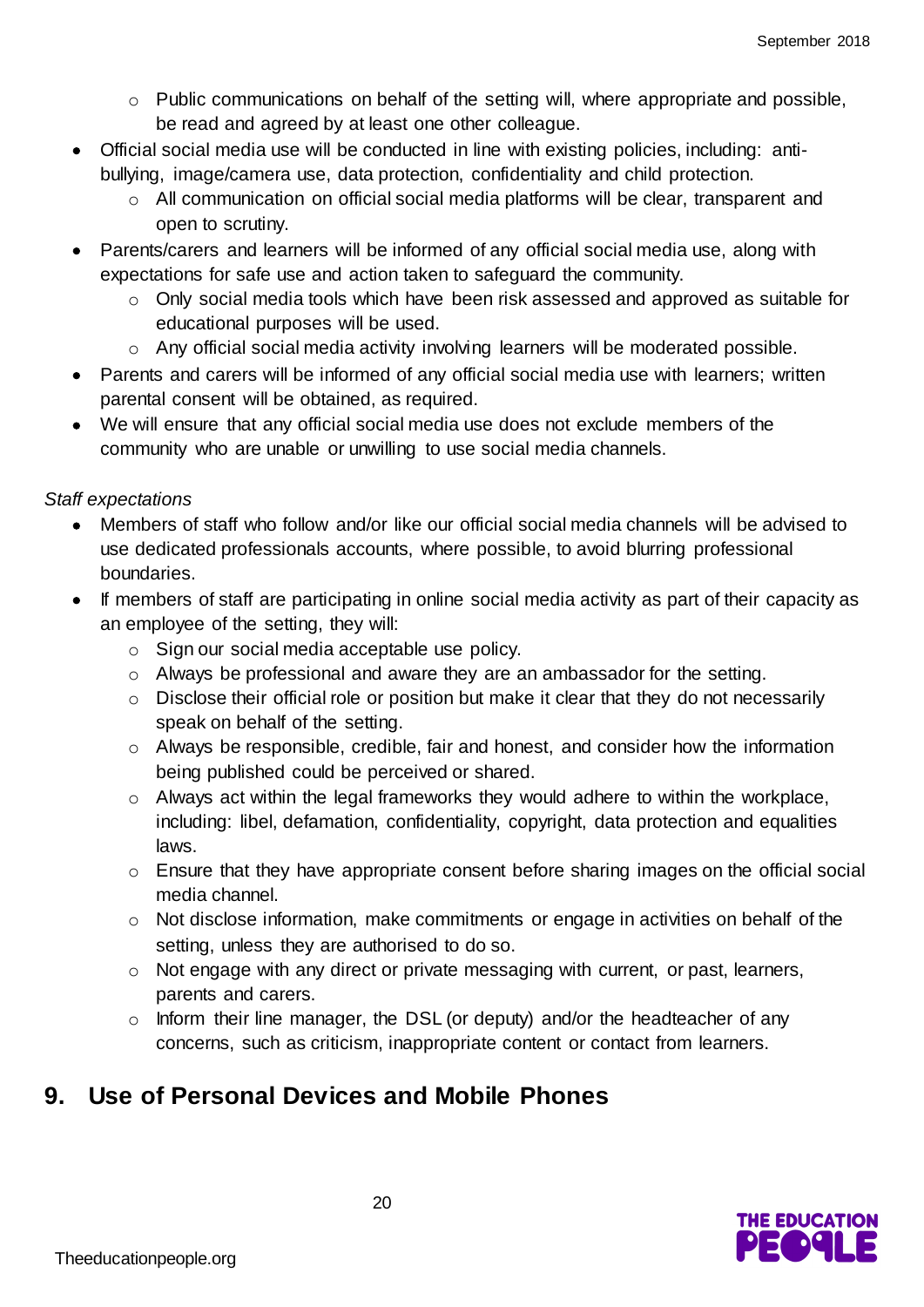- o Public communications on behalf of the setting will, where appropriate and possible, be read and agreed by at least one other colleague.
- Official social media use will be conducted in line with existing policies, including: antibullying, image/camera use, data protection, confidentiality and child protection.
	- o All communication on official social media platforms will be clear, transparent and open to scrutiny.
- Parents/carers and learners will be informed of any official social media use, along with expectations for safe use and action taken to safeguard the community.
	- o Only social media tools which have been risk assessed and approved as suitable for educational purposes will be used.
	- o Any official social media activity involving learners will be moderated possible.
- Parents and carers will be informed of any official social media use with learners; written parental consent will be obtained, as required.
- We will ensure that any official social media use does not exclude members of the community who are unable or unwilling to use social media channels.

#### *Staff expectations*

- Members of staff who follow and/or like our official social media channels will be advised to use dedicated professionals accounts, where possible, to avoid blurring professional boundaries.
- If members of staff are participating in online social media activity as part of their capacity as an employee of the setting, they will:
	- o Sign our social media acceptable use policy.
	- o Always be professional and aware they are an ambassador for the setting.
	- o Disclose their official role or position but make it clear that they do not necessarily speak on behalf of the setting.
	- o Always be responsible, credible, fair and honest, and consider how the information being published could be perceived or shared.
	- o Always act within the legal frameworks they would adhere to within the workplace, including: libel, defamation, confidentiality, copyright, data protection and equalities laws.
	- $\circ$  Ensure that they have appropriate consent before sharing images on the official social media channel.
	- o Not disclose information, make commitments or engage in activities on behalf of the setting, unless they are authorised to do so.
	- o Not engage with any direct or private messaging with current, or past, learners, parents and carers.
	- o Inform their line manager, the DSL (or deputy) and/or the headteacher of any concerns, such as criticism, inappropriate content or contact from learners.

# **9. Use of Personal Devices and Mobile Phones**

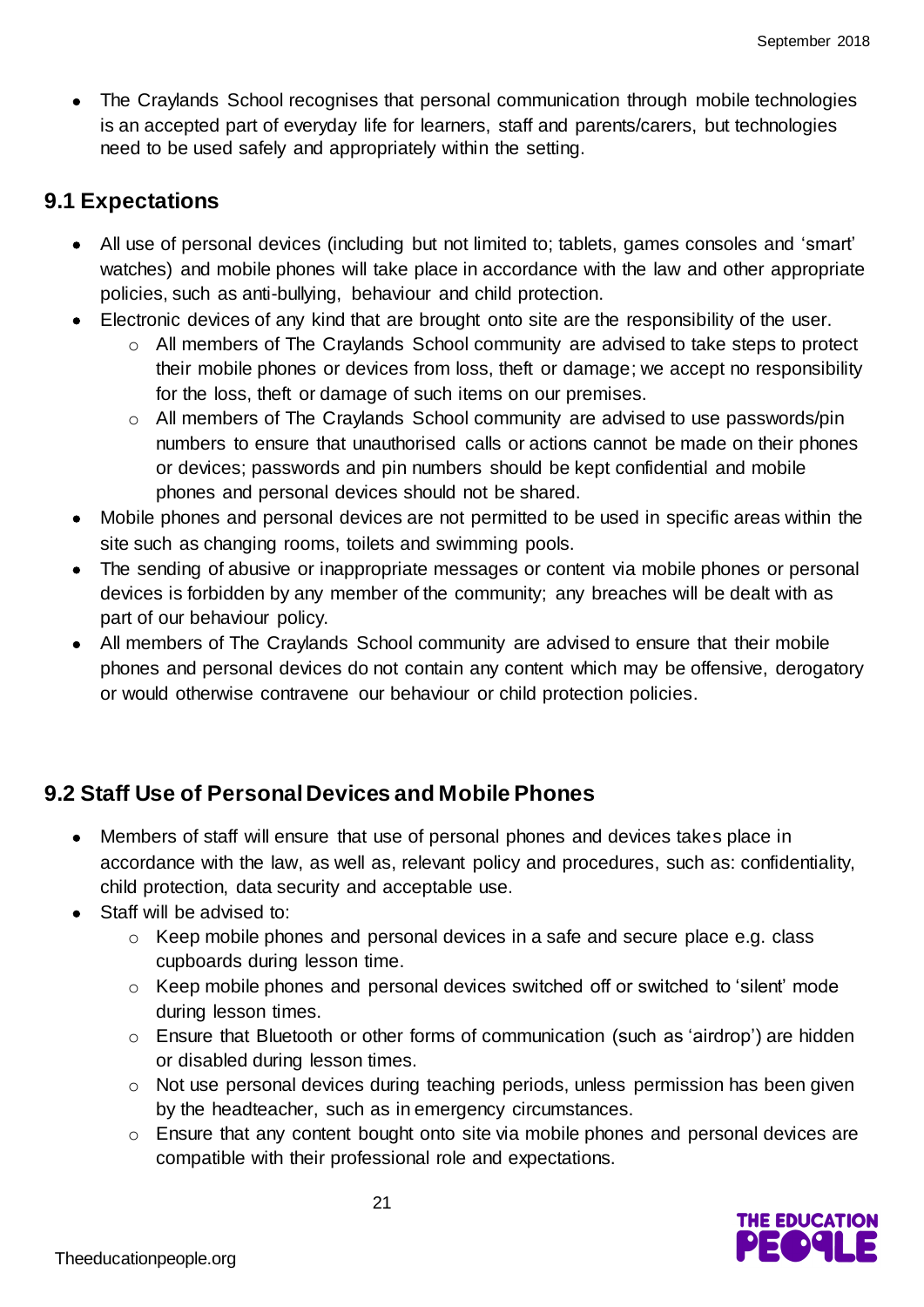• The Craylands School recognises that personal communication through mobile technologies is an accepted part of everyday life for learners, staff and parents/carers, but technologies need to be used safely and appropriately within the setting.

#### **9.1 Expectations**

- All use of personal devices (including but not limited to; tablets, games consoles and 'smart' watches) and mobile phones will take place in accordance with the law and other appropriate policies, such as anti-bullying, behaviour and child protection.
- Electronic devices of any kind that are brought onto site are the responsibility of the user.
	- o All members of The Craylands School community are advised to take steps to protect their mobile phones or devices from loss, theft or damage; we accept no responsibility for the loss, theft or damage of such items on our premises.
	- o All members of The Craylands School community are advised to use passwords/pin numbers to ensure that unauthorised calls or actions cannot be made on their phones or devices; passwords and pin numbers should be kept confidential and mobile phones and personal devices should not be shared.
- Mobile phones and personal devices are not permitted to be used in specific areas within the site such as changing rooms, toilets and swimming pools.
- The sending of abusive or inappropriate messages or content via mobile phones or personal devices is forbidden by any member of the community; any breaches will be dealt with as part of our behaviour policy.
- All members of The Craylands School community are advised to ensure that their mobile phones and personal devices do not contain any content which may be offensive, derogatory or would otherwise contravene our behaviour or child protection policies.

# **9.2 Staff Use of Personal Devices and Mobile Phones**

- Members of staff will ensure that use of personal phones and devices takes place in accordance with the law, as well as, relevant policy and procedures, such as: confidentiality, child protection, data security and acceptable use.
- Staff will be advised to:
	- o Keep mobile phones and personal devices in a safe and secure place e.g. class cupboards during lesson time.
	- o Keep mobile phones and personal devices switched off or switched to 'silent' mode during lesson times.
	- o Ensure that Bluetooth or other forms of communication (such as 'airdrop') are hidden or disabled during lesson times.
	- o Not use personal devices during teaching periods, unless permission has been given by the headteacher, such as in emergency circumstances.
	- o Ensure that any content bought onto site via mobile phones and personal devices are compatible with their professional role and expectations.

21

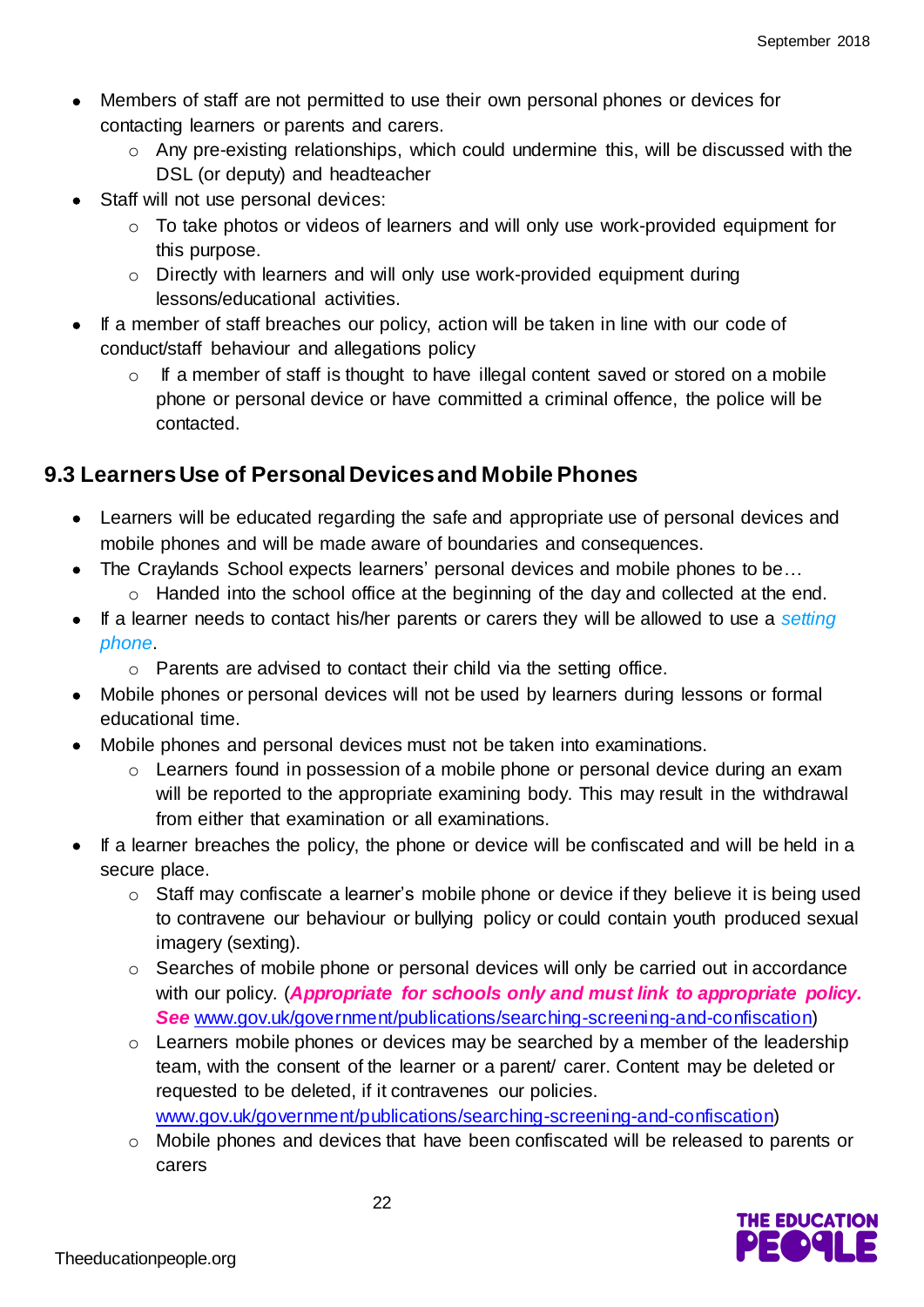- Members of staff are not permitted to use their own personal phones or devices for contacting learners or parents and carers.
	- o Any pre-existing relationships, which could undermine this, will be discussed with the DSL (or deputy) and headteacher
- Staff will not use personal devices:
	- o To take photos or videos of learners and will only use work-provided equipment for this purpose.
	- o Directly with learners and will only use work-provided equipment during lessons/educational activities.
- If a member of staff breaches our policy, action will be taken in line with our code of conduct/staff behaviour and allegations policy
	- $\circ$  If a member of staff is thought to have illegal content saved or stored on a mobile phone or personal device or have committed a criminal offence, the police will be contacted.

#### **9.3 LearnersUse of Personal Devices and Mobile Phones**

- Learners will be educated regarding the safe and appropriate use of personal devices and mobile phones and will be made aware of boundaries and consequences.
- The Craylands School expects learners' personal devices and mobile phones to be... o Handed into the school office at the beginning of the day and collected at the end.
- If a learner needs to contact his/her parents or carers they will be allowed to use a *setting phone*.
	- o Parents are advised to contact their child via the setting office.
- Mobile phones or personal devices will not be used by learners during lessons or formal educational time.
- Mobile phones and personal devices must not be taken into examinations.
	- o Learners found in possession of a mobile phone or personal device during an exam will be reported to the appropriate examining body. This may result in the withdrawal from either that examination or all examinations.
- If a learner breaches the policy, the phone or device will be confiscated and will be held in a secure place.
	- o Staff may confiscate a learner's mobile phone or device if they believe it is being used to contravene our behaviour or bullying policy or could contain youth produced sexual imagery (sexting).
	- o Searches of mobile phone or personal devices will only be carried out in accordance with our policy. (*Appropriate for schools only and must link to appropriate policy. See* [www.gov.uk/government/publications/searching-screening-and-confiscation\)](http://www.gov.uk/government/publications/searching-screening-and-confiscation)
	- o Learners mobile phones or devices may be searched by a member of the leadership team, with the consent of the learner or a parent/ carer. Content may be deleted or requested to be deleted, if it contravenes our policies.

[www.gov.uk/government/publications/searching-screening-and-confiscation\)](http://www.gov.uk/government/publications/searching-screening-and-confiscation)

o Mobile phones and devices that have been confiscated will be released to parents or carers

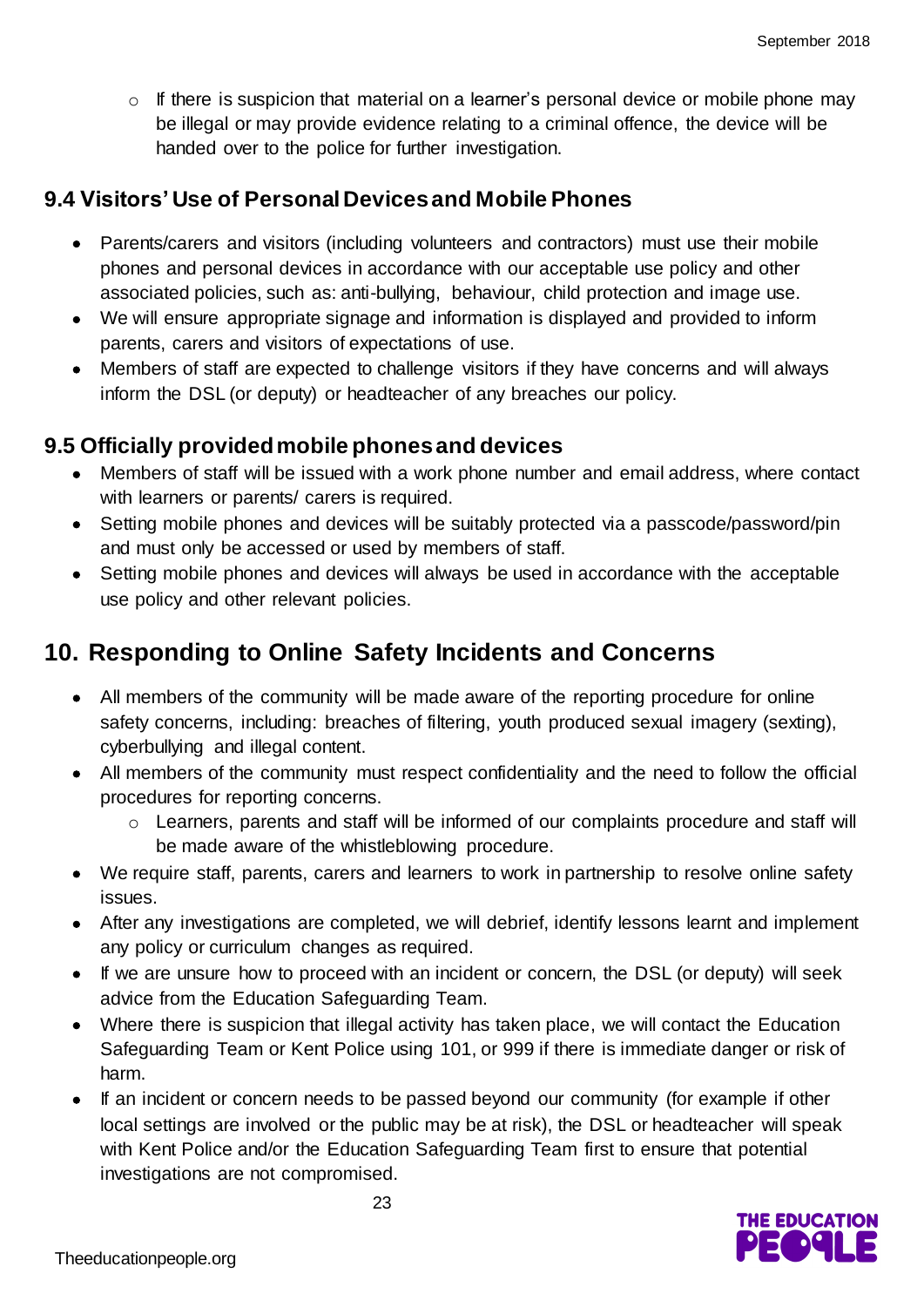$\circ$  If there is suspicion that material on a learner's personal device or mobile phone may be illegal or may provide evidence relating to a criminal offence, the device will be handed over to the police for further investigation.

#### **9.4 Visitors' Use of Personal Devices and Mobile Phones**

- Parents/carers and visitors (including volunteers and contractors) must use their mobile phones and personal devices in accordance with our acceptable use policy and other associated policies, such as: anti-bullying, behaviour, child protection and image use.
- We will ensure appropriate signage and information is displayed and provided to inform parents, carers and visitors of expectations of use.
- Members of staff are expected to challenge visitors if they have concerns and will always inform the DSL (or deputy) or headteacher of any breaches our policy.

#### **9.5 Officially provided mobile phones and devices**

- Members of staff will be issued with a work phone number and email address, where contact with learners or parents/ carers is required.
- Setting mobile phones and devices will be suitably protected via a passcode/password/pin and must only be accessed or used by members of staff.
- Setting mobile phones and devices will always be used in accordance with the acceptable use policy and other relevant policies.

# **10. Responding to Online Safety Incidents and Concerns**

- All members of the community will be made aware of the reporting procedure for online safety concerns, including: breaches of filtering, youth produced sexual imagery (sexting), cyberbullying and illegal content.
- All members of the community must respect confidentiality and the need to follow the official procedures for reporting concerns.
	- o Learners, parents and staff will be informed of our complaints procedure and staff will be made aware of the whistleblowing procedure.
- We require staff, parents, carers and learners to work in partnership to resolve online safety issues.
- After any investigations are completed, we will debrief, identify lessons learnt and implement any policy or curriculum changes as required.
- If we are unsure how to proceed with an incident or concern, the DSL (or deputy) will seek advice from the Education Safeguarding Team.
- Where there is suspicion that illegal activity has taken place, we will contact the Education Safeguarding Team or Kent Police using 101, or 999 if there is immediate danger or risk of harm.
- If an incident or concern needs to be passed beyond our community (for example if other local settings are involved or the public may be at risk), the DSL or headteacher will speak with Kent Police and/or the Education Safeguarding Team first to ensure that potential investigations are not compromised.



23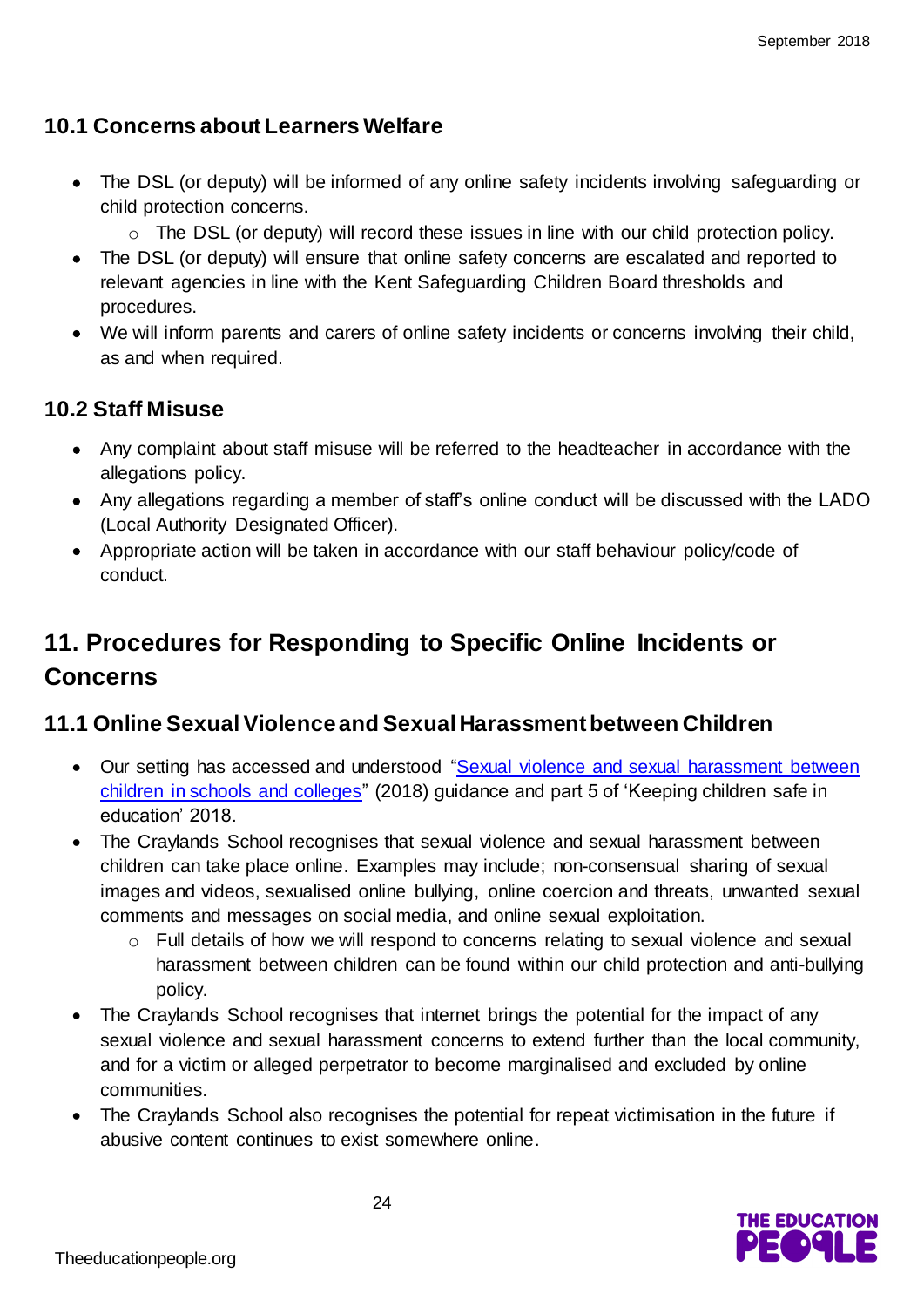#### **10.1 Concerns about Learners Welfare**

- The DSL (or deputy) will be informed of any online safety incidents involving safeguarding or child protection concerns.
	- o The DSL (or deputy) will record these issues in line with our child protection policy.
- The DSL (or deputy) will ensure that online safety concerns are escalated and reported to relevant agencies in line with the Kent Safeguarding Children Board thresholds and procedures.
- We will inform parents and carers of online safety incidents or concerns involving their child, as and when required.

#### **10.2 Staff Misuse**

- Any complaint about staff misuse will be referred to the headteacher in accordance with the allegations policy.
- Any allegations regarding a member of staff's online conduct will be discussed with the LADO (Local Authority Designated Officer).
- Appropriate action will be taken in accordance with our staff behaviour policy/code of conduct.

# **11. Procedures for Responding to Specific Online Incidents or Concerns**

#### **11.1 Online Sexual Violence and Sexual Harassment between Children**

- Our setting has accessed and understood "Sexual violence and sexual harassment between [children in schools and colleges"](https://www.gov.uk/government/publications/sexual-violence-and-sexual-harassment-between-children-in-schools-and-colleges) (2018) guidance and part 5 of 'Keeping children safe in education' 2018.
- The Craylands School recognises that sexual violence and sexual harassment between children can take place online. Examples may include; non-consensual sharing of sexual images and videos, sexualised online bullying, online coercion and threats, unwanted sexual comments and messages on social media, and online sexual exploitation.
	- o Full details of how we will respond to concerns relating to sexual violence and sexual harassment between children can be found within our child protection and anti-bullying policy.
- The Craylands School recognises that internet brings the potential for the impact of any sexual violence and sexual harassment concerns to extend further than the local community, and for a victim or alleged perpetrator to become marginalised and excluded by online communities.
- The Craylands School also recognises the potential for repeat victimisation in the future if abusive content continues to exist somewhere online.

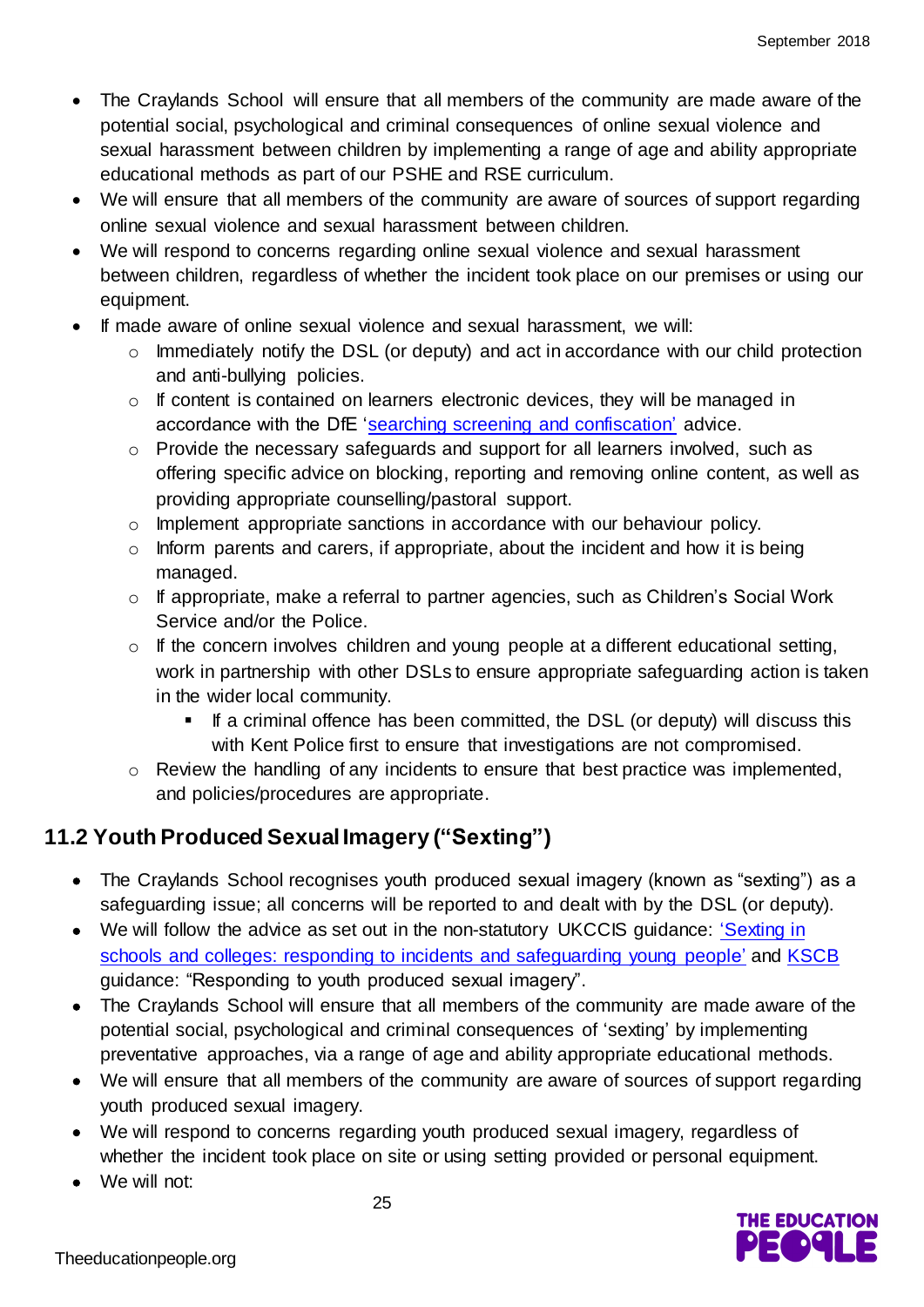- The Craylands School will ensure that all members of the community are made aware of the potential social, psychological and criminal consequences of online sexual violence and sexual harassment between children by implementing a range of age and ability appropriate educational methods as part of our PSHE and RSE curriculum.
- We will ensure that all members of the community are aware of sources of support regarding online sexual violence and sexual harassment between children.
- We will respond to concerns regarding online sexual violence and sexual harassment between children, regardless of whether the incident took place on our premises or using our equipment.
- If made aware of online sexual violence and sexual harassment, we will:
	- o Immediately notify the DSL (or deputy) and act in accordance with our child protection and anti-bullying policies.
	- o If content is contained on learners electronic devices, they will be managed in accordance with the DfE ['searching screening and confiscation'](https://www.gov.uk/government/publications/searching-screening-and-confiscation) advice.
	- o Provide the necessary safeguards and support for all learners involved, such as offering specific advice on blocking, reporting and removing online content, as well as providing appropriate counselling/pastoral support.
	- o Implement appropriate sanctions in accordance with our behaviour policy.
	- $\circ$  Inform parents and carers, if appropriate, about the incident and how it is being managed.
	- o If appropriate, make a referral to partner agencies, such as Children's Social Work Service and/or the Police.
	- $\circ$  If the concern involves children and young people at a different educational setting, work in partnership with other DSLs to ensure appropriate safeguarding action is taken in the wider local community.
		- **If a criminal offence has been committed, the DSL (or deputy) will discuss this** with Kent Police first to ensure that investigations are not compromised.
	- o Review the handling of any incidents to ensure that best practice was implemented, and policies/procedures are appropriate.

# **11.2 Youth Produced Sexual Imagery ("Sexting")**

- The Craylands School recognises youth produced sexual imagery (known as "sexting") as a safeguarding issue; all concerns will be reported to and dealt with by the DSL (or deputy).
- We will follow the advice as set out in the non-statutory UKCCIS guidance: 'Sexting in [schools and colleges: responding to incidents and safeguarding young people'](https://www.gov.uk/government/groups/uk-council-for-child-internet-safety-ukccis) and [KSCB](http://www.kscb.org.uk/guidance/online-safety) guidance: "Responding to youth produced sexual imagery".
- The Craylands School will ensure that all members of the community are made aware of the potential social, psychological and criminal consequences of 'sexting' by implementing preventative approaches, via a range of age and ability appropriate educational methods.
- We will ensure that all members of the community are aware of sources of support regarding youth produced sexual imagery.
- We will respond to concerns regarding youth produced sexual imagery, regardless of whether the incident took place on site or using setting provided or personal equipment.
- We will not:

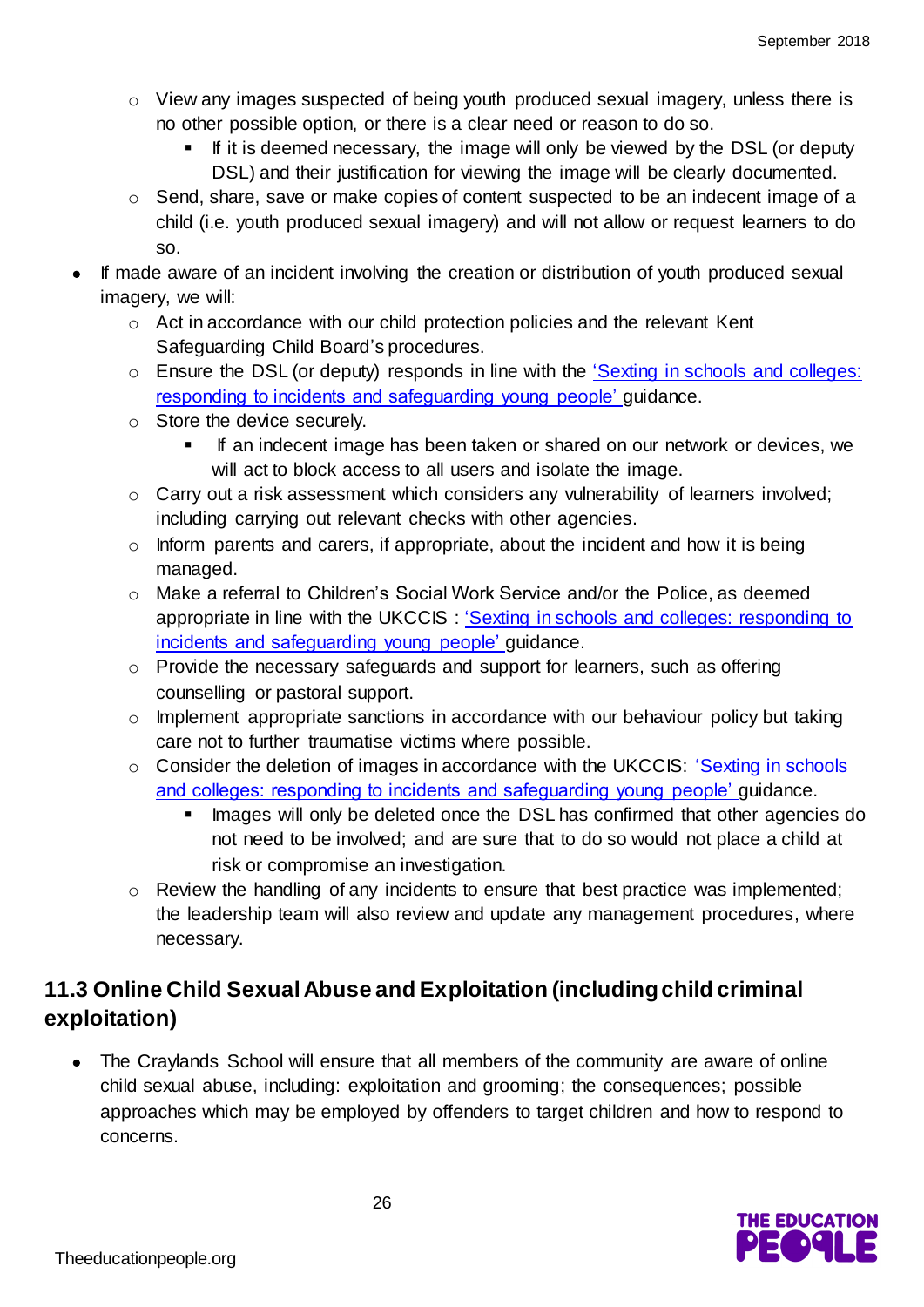- $\circ$  View any images suspected of being youth produced sexual imagery, unless there is no other possible option, or there is a clear need or reason to do so.
	- If it is deemed necessary, the image will only be viewed by the DSL (or deputy DSL) and their justification for viewing the image will be clearly documented.
- o Send, share, save or make copies of content suspected to be an indecent image of a child (i.e. youth produced sexual imagery) and will not allow or request learners to do so.
- If made aware of an incident involving the creation or distribution of youth produced sexual imagery, we will:
	- $\circ$  Act in accordance with our child protection policies and the relevant Kent Safeguarding Child Board's procedures.
	- o Ensure the DSL (or deputy) responds in line with the ['Sexting in schools and colleges:](https://www.gov.uk/government/groups/uk-council-for-child-internet-safety-ukccis)  [responding to incidents and safeguarding young people'](https://www.gov.uk/government/groups/uk-council-for-child-internet-safety-ukccis) guidance.
	- o Store the device securely.
		- If an indecent image has been taken or shared on our network or devices, we will act to block access to all users and isolate the image.
	- o Carry out a risk assessment which considers any vulnerability of learners involved; including carrying out relevant checks with other agencies.
	- $\circ$  Inform parents and carers, if appropriate, about the incident and how it is being managed.
	- o Make a referral to Children's Social Work Service and/or the Police, as deemed appropriate in line with the UKCCIS : ['Sexting in schools and colleges: responding to](https://www.gov.uk/government/groups/uk-council-for-child-internet-safety-ukccis)  [incidents and safeguarding young people'](https://www.gov.uk/government/groups/uk-council-for-child-internet-safety-ukccis) guidance.
	- o Provide the necessary safeguards and support for learners, such as offering counselling or pastoral support.
	- $\circ$  Implement appropriate sanctions in accordance with our behaviour policy but taking care not to further traumatise victims where possible.
	- o Consider the deletion of images in accordance with the UKCCIS: 'Sexting in schools [and colleges: responding to incidents and safeguarding young people'](https://www.gov.uk/government/groups/uk-council-for-child-internet-safety-ukccis) guidance.
		- **If Images will only be deleted once the DSL has confirmed that other agencies do** not need to be involved; and are sure that to do so would not place a child at risk or compromise an investigation.
	- o Review the handling of any incidents to ensure that best practice was implemented; the leadership team will also review and update any management procedures, where necessary.

# **11.3 Online Child Sexual Abuse and Exploitation (including child criminal exploitation)**

 The Craylands School will ensure that all members of the community are aware of online child sexual abuse, including: exploitation and grooming; the consequences; possible approaches which may be employed by offenders to target children and how to respond to concerns.

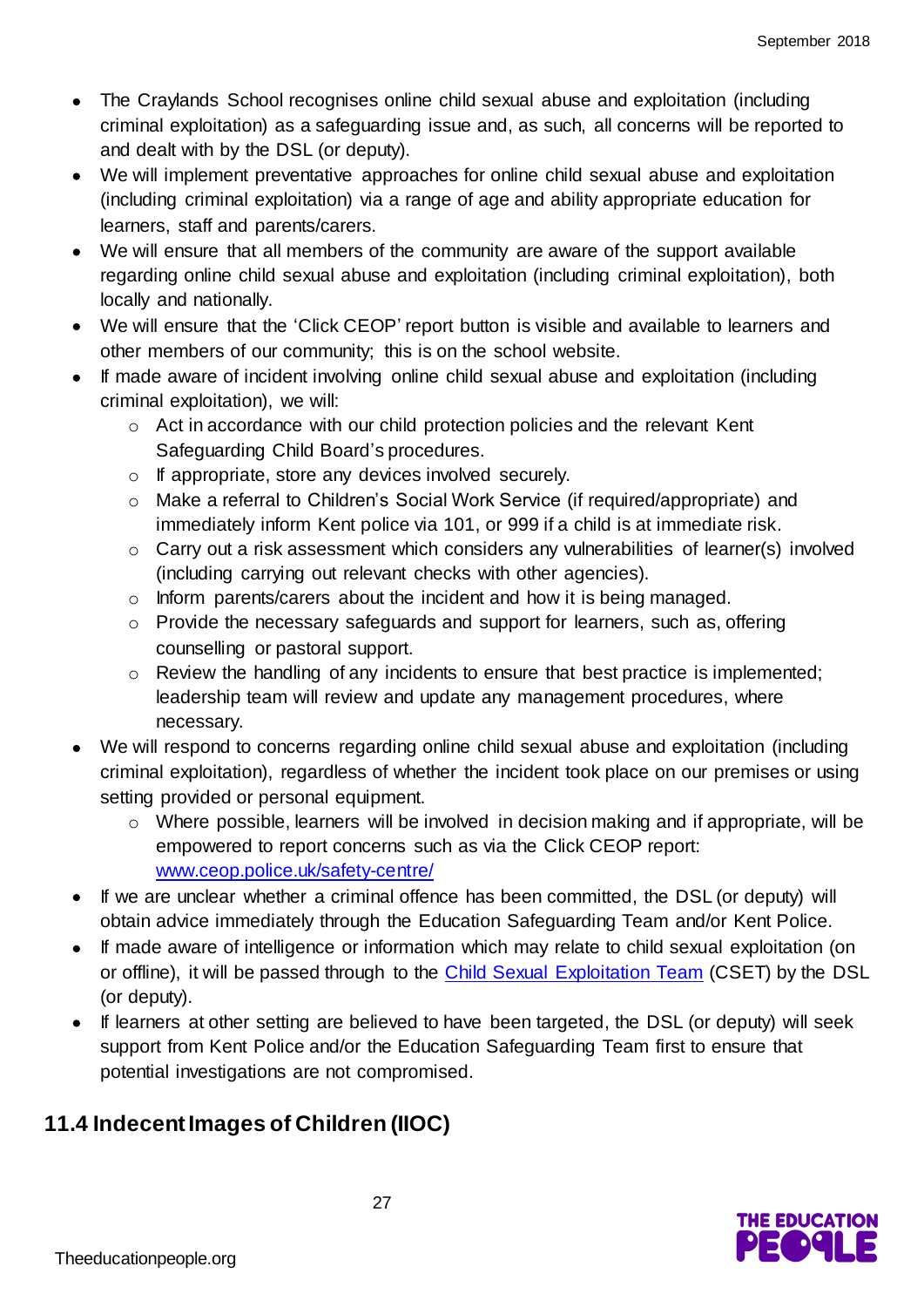- The Craylands School recognises online child sexual abuse and exploitation (including criminal exploitation) as a safeguarding issue and, as such, all concerns will be reported to and dealt with by the DSL (or deputy).
- We will implement preventative approaches for online child sexual abuse and exploitation (including criminal exploitation) via a range of age and ability appropriate education for learners, staff and parents/carers.
- We will ensure that all members of the community are aware of the support available regarding online child sexual abuse and exploitation (including criminal exploitation), both locally and nationally.
- We will ensure that the 'Click CEOP' report button is visible and available to learners and other members of our community; this is on the school website.
- If made aware of incident involving online child sexual abuse and exploitation (including criminal exploitation), we will:
	- o Act in accordance with our child protection policies and the relevant Kent Safeguarding Child Board's procedures.
	- $\circ$  If appropriate, store any devices involved securely.
	- o Make a referral to Children's Social Work Service (if required/appropriate) and immediately inform Kent police via 101, or 999 if a child is at immediate risk.
	- o Carry out a risk assessment which considers any vulnerabilities of learner(s) involved (including carrying out relevant checks with other agencies).
	- o Inform parents/carers about the incident and how it is being managed.
	- o Provide the necessary safeguards and support for learners, such as, offering counselling or pastoral support.
	- o Review the handling of any incidents to ensure that best practice is implemented; leadership team will review and update any management procedures, where necessary.
- We will respond to concerns regarding online child sexual abuse and exploitation (including criminal exploitation), regardless of whether the incident took place on our premises or using setting provided or personal equipment.
	- o Where possible, learners will be involved in decision making and if appropriate, will be empowered to report concerns such as via the Click CEOP report: [www.ceop.police.uk/safety-centre/](http://www.ceop.police.uk/safety-centre/)
- If we are unclear whether a criminal offence has been committed, the DSL (or deputy) will obtain advice immediately through the Education Safeguarding Team and/or Kent Police.
- If made aware of intelligence or information which may relate to child sexual exploitation (on or offline), it will be passed through to the [Child Sexual Exploitation Team](https://www.kent.police.uk/childabuse/) (CSET) by the DSL (or deputy).
- If learners at other setting are believed to have been targeted, the DSL (or deputy) will seek support from Kent Police and/or the Education Safeguarding Team first to ensure that potential investigations are not compromised.

# **11.4 Indecent Images of Children (IIOC)**

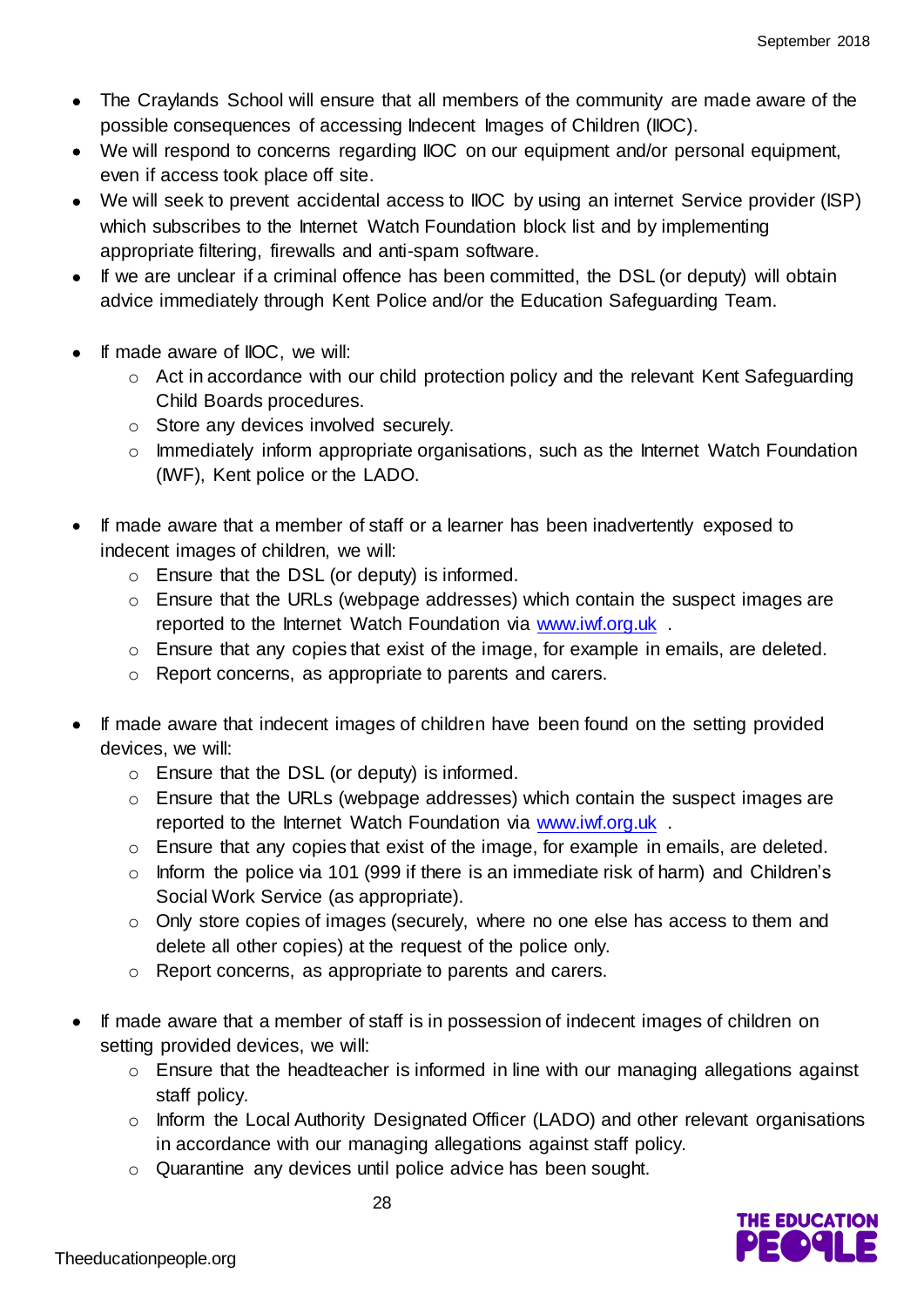- The Craylands School will ensure that all members of the community are made aware of the possible consequences of accessing Indecent Images of Children (IIOC).
- We will respond to concerns regarding IIOC on our equipment and/or personal equipment, even if access took place off site.
- We will seek to prevent accidental access to IIOC by using an internet Service provider (ISP) which subscribes to the Internet Watch Foundation block list and by implementing appropriate filtering, firewalls and anti-spam software.
- If we are unclear if a criminal offence has been committed, the DSL (or deputy) will obtain advice immediately through Kent Police and/or the Education Safeguarding Team.
- If made aware of IIOC, we will:
	- o Act in accordance with our child protection policy and the relevant Kent Safeguarding Child Boards procedures.
	- o Store any devices involved securely.
	- o Immediately inform appropriate organisations, such as the Internet Watch Foundation (IWF), Kent police or the LADO.
- If made aware that a member of staff or a learner has been inadvertently exposed to indecent images of children, we will:
	- o Ensure that the DSL (or deputy) is informed.
	- o Ensure that the URLs (webpage addresses) which contain the suspect images are reported to the Internet Watch Foundation via [www.iwf.org.uk](https://www.iwf.org.uk/) .
	- o Ensure that any copies that exist of the image, for example in emails, are deleted.
	- o Report concerns, as appropriate to parents and carers.
- If made aware that indecent images of children have been found on the setting provided devices, we will:
	- o Ensure that the DSL (or deputy) is informed.
	- o Ensure that the URLs (webpage addresses) which contain the suspect images are reported to the Internet Watch Foundation via [www.iwf.org.uk](https://www.iwf.org.uk/) .
	- o Ensure that any copies that exist of the image, for example in emails, are deleted.
	- $\circ$  Inform the police via 101 (999 if there is an immediate risk of harm) and Children's Social Work Service (as appropriate).
	- o Only store copies of images (securely, where no one else has access to them and delete all other copies) at the request of the police only.
	- o Report concerns, as appropriate to parents and carers.
- If made aware that a member of staff is in possession of indecent images of children on setting provided devices, we will:
	- o Ensure that the headteacher is informed in line with our managing allegations against staff policy.
	- o Inform the Local Authority Designated Officer (LADO) and other relevant organisations in accordance with our managing allegations against staff policy.
	- o Quarantine any devices until police advice has been sought.

28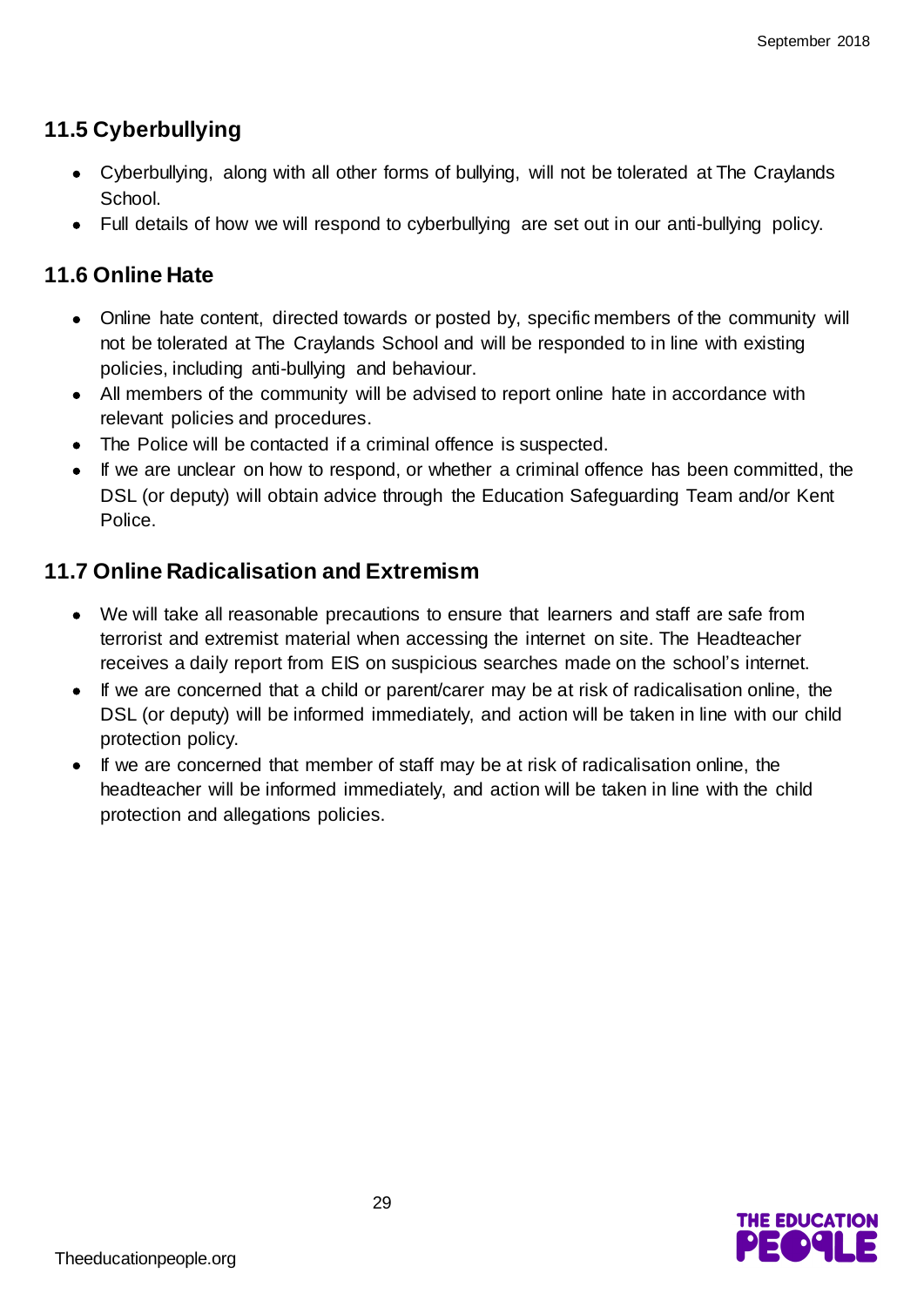# **11.5 Cyberbullying**

- Cyberbullying, along with all other forms of bullying, will not be tolerated at The Craylands School.
- Full details of how we will respond to cyberbullying are set out in our anti-bullying policy.

## **11.6 Online Hate**

- Online hate content, directed towards or posted by, specific members of the community will not be tolerated at The Craylands School and will be responded to in line with existing policies, including anti-bullying and behaviour.
- All members of the community will be advised to report online hate in accordance with relevant policies and procedures.
- The Police will be contacted if a criminal offence is suspected.
- If we are unclear on how to respond, or whether a criminal offence has been committed, the DSL (or deputy) will obtain advice through the Education Safeguarding Team and/or Kent Police.

# **11.7 Online Radicalisation and Extremism**

- We will take all reasonable precautions to ensure that learners and staff are safe from terrorist and extremist material when accessing the internet on site. The Headteacher receives a daily report from EIS on suspicious searches made on the school's internet.
- If we are concerned that a child or parent/carer may be at risk of radicalisation online, the DSL (or deputy) will be informed immediately, and action will be taken in line with our child protection policy.
- If we are concerned that member of staff may be at risk of radicalisation online, the headteacher will be informed immediately, and action will be taken in line with the child protection and allegations policies.

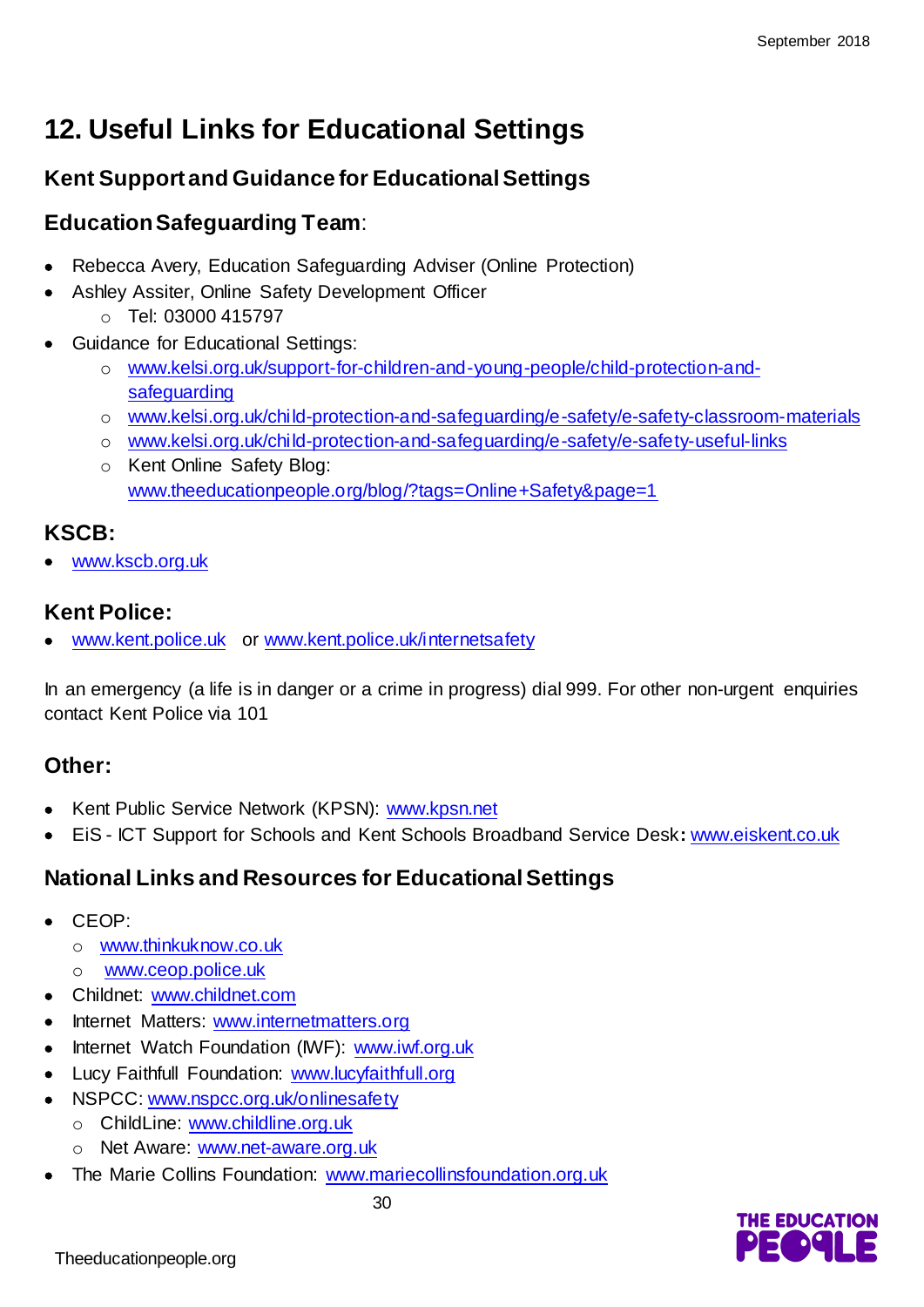# **12. Useful Links for Educational Settings**

# **Kent Support and Guidance for Educational Settings**

#### **Education Safeguarding Team**:

- Rebecca Avery, Education Safeguarding Adviser (Online Protection)
- Ashley Assiter, Online Safety Development Officer
	- o Tel: 03000 415797
- Guidance for Educational Settings:
	- o [www.kelsi.org.uk/support-for-children-and-young-people/child-protection-and](http://www.kelsi.org.uk/support-for-children-and-young-people/child-protection-and-safeguarding)[safeguarding](http://www.kelsi.org.uk/support-for-children-and-young-people/child-protection-and-safeguarding)
	- o [www.kelsi.org.uk/child-protection-and-safeguarding/e-safety/e-safety-classroom-materials](http://www.kelsi.org.uk/child-protection-and-safeguarding/e-safety/e-safety-classroom-materials)
	- o [www.kelsi.org.uk/child-protection-and-safeguarding/e-safety/e-safety-useful-links](http://www.kelsi.org.uk/child-protection-and-safeguarding/e-safety/e-safety-useful-links)
	- o Kent Online Safety Blog: [www.theeducationpeople.org/blog/?tags=Online+Safety&page=1](http://www.theeducationpeople.org/blog/?tags=Online+Safety&page=1)

# **KSCB:**

[www.kscb.org.uk](http://www.kscb.org.uk/)

# **Kent Police:**

[www.kent.police.uk](http://www.kent.police.uk/) or [www.kent.police.uk/internetsafety](http://www.kent.police.uk/internetsafety)

In an emergency (a life is in danger or a crime in progress) dial 999. For other non-urgent enquiries contact Kent Police via 101

#### **Other:**

- Kent Public Service Network (KPSN): [www.kpsn.net](http://www.kpsn.net/)
- EiS ICT Support for Schools and Kent Schools Broadband Service Desk**:** [www.eiskent.co.uk](http://www.eiskent.co.uk/)

# **National Links and Resources for Educational Settings**

- CEOP:
	- o [www.thinkuknow.co.uk](http://www.thinkuknow.co.uk/)
	- o [www.ceop.police.uk](http://www.ceop.police.uk/)
- Childnet: [www.childnet.com](http://www.childnet.com/)
- Internet Matters: [www.internetmatters.org](http://www.internetmatters.org/)
- Internet Watch Foundation (IWF): [www.iwf.org.uk](http://www.iwf.org.uk/)
- Lucy Faithfull Foundation: [www.lucyfaithfull.org](http://www.lucyfaithfull.org/)
- NSPCC: [www.nspcc.org.uk/onlinesafety](http://www.nspcc.org.uk/onlinesafety)
	- o ChildLine: [www.childline.org.uk](http://www.childline.org.uk/)
	- o Net Aware: [www.net-aware.org.uk](http://www.net-aware.org.uk/)
- The Marie Collins Foundation: [www.mariecollinsfoundation.org.uk](http://www.mariecollinsfoundation.org.uk/)